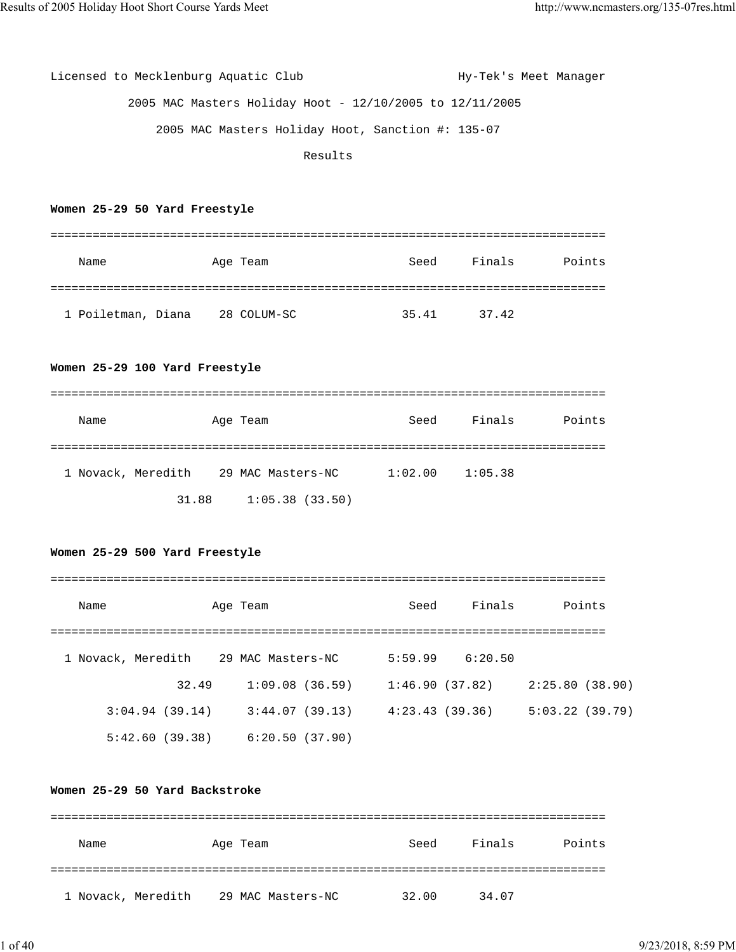Licensed to Mecklenburg Aquatic Club Hy-Tek's Meet Manager 2005 MAC Masters Holiday Hoot - 12/10/2005 to 12/11/2005 2005 MAC Masters Holiday Hoot, Sanction #: 135-07 Results

#### **Women 25-29 50 Yard Freestyle**

| Name               | Age Team    | Seed  | Finals | Points |
|--------------------|-------------|-------|--------|--------|
|                    |             |       |        |        |
| 1 Poiletman, Diana | 28 COLUM-SC | 35.41 | 37.42  |        |

#### **Women 25-29 100 Yard Freestyle**

| Name               |       | Age Team          | Seed    | Finals  | Points |
|--------------------|-------|-------------------|---------|---------|--------|
|                    |       |                   |         |         |        |
| 1 Novack, Meredith |       | 29 MAC Masters-NC | 1:02.00 | 1:05.38 |        |
|                    | 31.88 | 1:05.38(33.50)    |         |         |        |

## **Women 25-29 500 Yard Freestyle**

| Name               | Age Team          | Seed    | Finals         | Points         |
|--------------------|-------------------|---------|----------------|----------------|
|                    |                   |         |                |                |
| 1 Novack, Meredith | 29 MAC Masters-NC | 5:59.99 | 6:20.50        |                |
| 32.49              | 1:09.08(36.59)    |         | 1:46.90(37.82) | 2:25.80(38.90) |
| 3:04.94(39.14)     | 3:44.07(39.13)    |         | 4:23.43(39.36) | 5:03.22(39.79) |
| 5:42.60(39.38)     | 6:20.50(37.90)    |         |                |                |

#### **Women 25-29 50 Yard Backstroke**

| Name               | Age Team          | Seed  | Finals<br>Points |
|--------------------|-------------------|-------|------------------|
|                    |                   |       |                  |
| 1 Novack, Meredith | 29 MAC Masters-NC | 32.00 | 34.07            |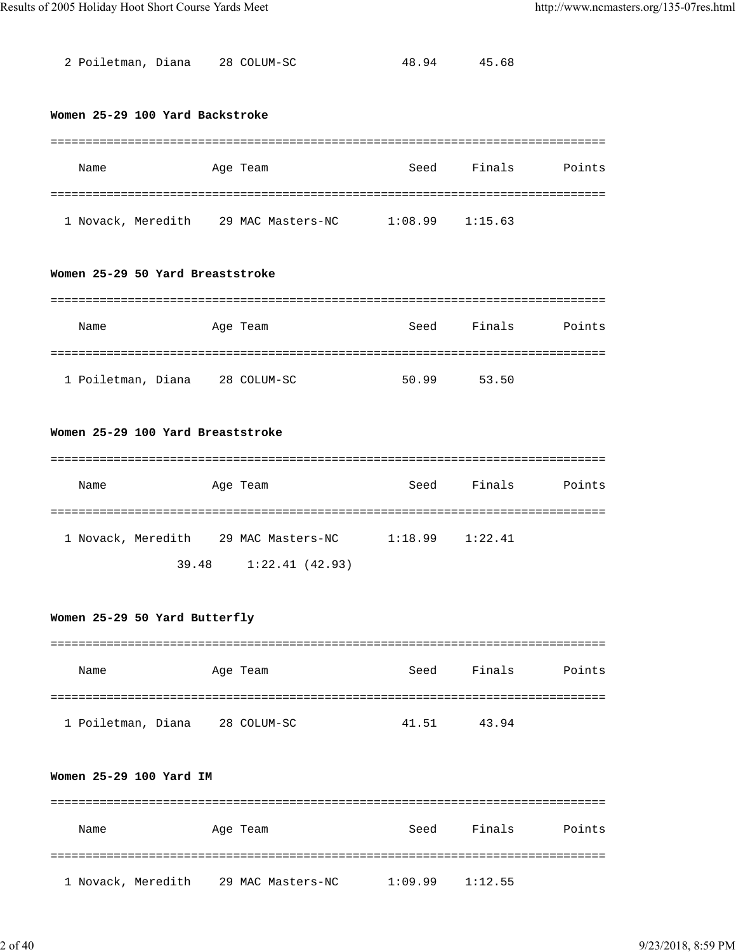2 Poiletman, Diana 28 COLUM-SC 48.94 45.68

#### **Women 25-29 100 Yard Backstroke**

| Name               | Age Team          | Seed    | Finals  | Points |
|--------------------|-------------------|---------|---------|--------|
|                    |                   |         |         |        |
| 1 Novack, Meredith | 29 MAC Masters-NC | 1:08.99 | 1:15.63 |        |

### **Women 25-29 50 Yard Breaststroke**

| Name               | Age Team    | Seed  | Finals | Points |
|--------------------|-------------|-------|--------|--------|
|                    |             |       |        |        |
| 1 Poiletman, Diana | 28 COLUM-SC | 50.99 | 53.50  |        |

## **Women 25-29 100 Yard Breaststroke**

| Name               | Age Team          |                | Seed    | Finals  | Points |
|--------------------|-------------------|----------------|---------|---------|--------|
|                    |                   |                |         |         |        |
| 1 Novack, Meredith | 29 MAC Masters-NC |                | 1:18.99 | 1:22.41 |        |
|                    | 39.48             | 1:22.41(42.93) |         |         |        |

### **Women 25-29 50 Yard Butterfly**

| Name               | Age Team    | Seed  | Finals | Points |
|--------------------|-------------|-------|--------|--------|
|                    |             |       |        |        |
| 1 Poiletman, Diana | 28 COLUM-SC | 41.51 | 43.94  |        |

# **Women 25-29 100 Yard IM**

| Name               | Age Team          | Seed    | Finals  | Points |
|--------------------|-------------------|---------|---------|--------|
|                    |                   |         |         |        |
| 1 Novack, Meredith | 29 MAC Masters-NC | 1:09.99 | 1:12.55 |        |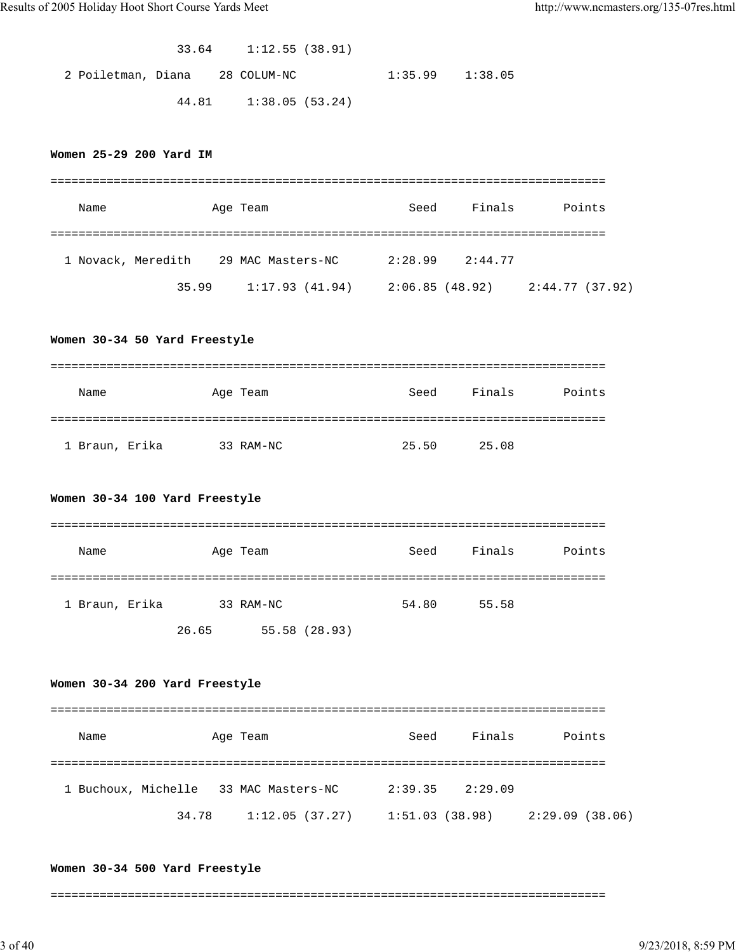|                                |  | $33.64$ 1:12.55 (38.91) |                     |  |
|--------------------------------|--|-------------------------|---------------------|--|
| 2 Poiletman, Diana 28 COLUM-NC |  |                         | $1:35.99$ $1:38.05$ |  |
|                                |  | 44.81 1:38.05 (53.24)   |                     |  |

#### **Women 25-29 200 Yard IM**

| Name               |       | Age Team          | Seed           | Finals  | Points          |
|--------------------|-------|-------------------|----------------|---------|-----------------|
|                    |       |                   |                |         |                 |
| 1 Novack, Meredith |       | 29 MAC Masters-NC | 2:28.99        | 2:44.77 |                 |
|                    | 35.99 | 1:17.93(41.94)    | 2:06.85(48.92) |         | 2:44.77 (37.92) |

#### **Women 30-34 50 Yard Freestyle**

| Name           | Age Team  | Seed  | Finals<br>Points |
|----------------|-----------|-------|------------------|
|                |           |       |                  |
| 1 Braun, Erika | 33 RAM-NC | 25.50 | 25.08            |

#### **Women 30-34 100 Yard Freestyle**

| Name           |       | Age Team      | Seed  | Finals | Points |
|----------------|-------|---------------|-------|--------|--------|
|                |       |               |       |        |        |
| 1 Braun, Erika |       | 33 RAM-NC     | 54.80 | 55.58  |        |
|                | 26.65 | 55.58 (28.93) |       |        |        |

#### **Women 30-34 200 Yard Freestyle**

=============================================================================== Name Age Team Seed Finals Points =============================================================================== 1 Buchoux, Michelle 33 MAC Masters-NC 2:39.35 2:29.09 34.78 1:12.05 (37.27) 1:51.03 (38.98) 2:29.09 (38.06)

#### **Women 30-34 500 Yard Freestyle**

===============================================================================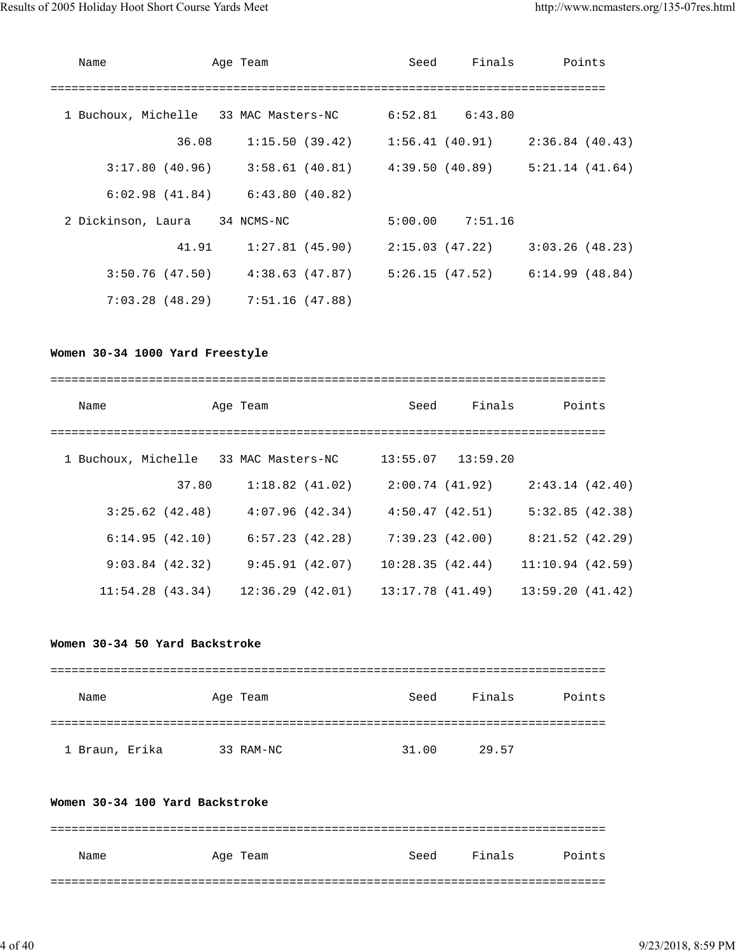| Name                                  | Age Team                                                                | Seed |                     | Finals Points   |
|---------------------------------------|-------------------------------------------------------------------------|------|---------------------|-----------------|
|                                       |                                                                         |      |                     |                 |
| 1 Buchoux, Michelle 33 MAC Masters-NC |                                                                         |      | $6:52.81$ $6:43.80$ |                 |
| 36.08                                 | $1:15.50$ (39.42) $1:56.41$ (40.91)                                     |      |                     | 2:36.84 (40.43) |
|                                       | $3:17.80$ (40.96) $3:58.61$ (40.81) $4:39.50$ (40.89) $5:21.14$ (41.64) |      |                     |                 |
|                                       | $6:02.98$ (41.84) $6:43.80$ (40.82)                                     |      |                     |                 |
| 2 Dickinson, Laura 34 NCMS-NC         |                                                                         |      | $5:00.00$ 7:51.16   |                 |
| 41.91                                 | $1:27.81$ (45.90) $2:15.03$ (47.22) $3:03.26$ (48.23)                   |      |                     |                 |
|                                       | $3:50.76$ (47.50) $4:38.63$ (47.87) $5:26.15$ (47.52) $6:14.99$ (48.84) |      |                     |                 |
|                                       | $7:03.28$ (48.29) $7:51.16$ (47.88)                                     |      |                     |                 |

# **Women 30-34 1000 Yard Freestyle**

| Name            |       | Age Team                              | Seed             | Finals                | Points          |
|-----------------|-------|---------------------------------------|------------------|-----------------------|-----------------|
|                 |       | 1 Buchoux, Michelle 33 MAC Masters-NC |                  | $13:55.07$ $13:59.20$ |                 |
|                 | 37.80 | 1:18.82(41.02)                        |                  | 2:00.74(41.92)        | 2:43.14(42.40)  |
| 3:25.62(42.48)  |       | 4:07.96(42.34)                        | 4:50.47(42.51)   |                       | 5:32.85(42.38)  |
| 6:14.95(42.10)  |       | 6:57.23 (42.28)                       |                  | 7:39.23 (42.00)       | 8:21.52(42.29)  |
| 9:03.84(42.32)  |       | 9:45.91 (42.07)                       |                  | 10:28.35(42.44)       | 11:10.94(42.59) |
| 11:54.28(43.34) |       | 12:36.29 (42.01)                      | 13:17.78 (41.49) |                       | 13:59.20(41.42) |

#### **Women 30-34 50 Yard Backstroke**

| Name           | Age Team  | Seed  | Finals | Points |
|----------------|-----------|-------|--------|--------|
|                |           |       |        |        |
| 1 Braun, Erika | 33 RAM-NC | 31.00 | 29.57  |        |

#### **Women 30-34 100 Yard Backstroke**

| Name | Age Team | Seed | Finals | Points |
|------|----------|------|--------|--------|
|      |          |      |        |        |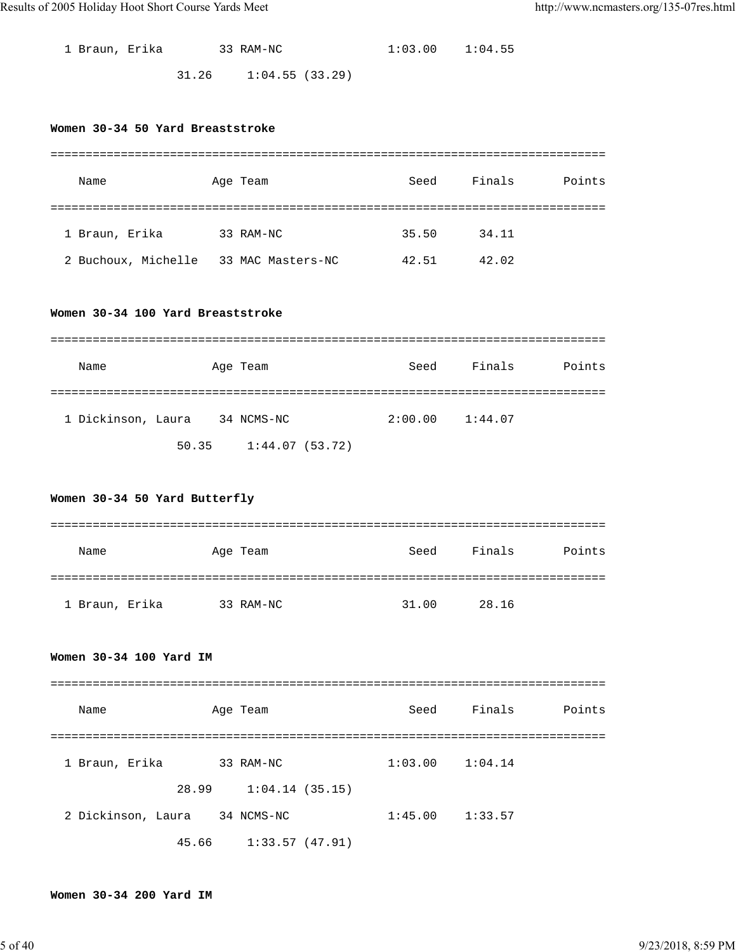| 1 Braun, Erika |       | 33 RAM-NC       | $1:03.00$ $1:04.55$ |  |
|----------------|-------|-----------------|---------------------|--|
|                | 31.26 | 1:04.55 (33.29) |                     |  |

#### **Women 30-34 50 Yard Breaststroke**

| Name                | Age Team          | Seed  | Finals<br>Points |  |  |  |  |  |
|---------------------|-------------------|-------|------------------|--|--|--|--|--|
|                     |                   |       |                  |  |  |  |  |  |
| 1 Braun, Erika      | 33 RAM-NC         | 35.50 | 34.11            |  |  |  |  |  |
| 2 Buchoux, Michelle | 33 MAC Masters-NC | 42.51 | 42.02            |  |  |  |  |  |

#### **Women 30-34 100 Yard Breaststroke**

| Name               |       | Age Team       | Seed    | Finals  | Points |
|--------------------|-------|----------------|---------|---------|--------|
|                    |       |                |         |         |        |
| 1 Dickinson, Laura |       | 34 NCMS-NC     | 2:00.00 | 1:44.07 |        |
|                    | 50.35 | 1:44.07(53.72) |         |         |        |

### **Women 30-34 50 Yard Butterfly**

| Name           | Age Team  | Seed  | Finals | Points |
|----------------|-----------|-------|--------|--------|
|                |           |       |        |        |
| 1 Braun, Erika | 33 RAM-NC | 31.00 | 28.16  |        |

#### **Women 30-34 100 Yard IM**

| Name               |  | Age Team       | Seed    | Finals  | Points |  |  |
|--------------------|--|----------------|---------|---------|--------|--|--|
|                    |  |                |         |         |        |  |  |
| 1 Braun, Erika     |  | 33 RAM-NC      | 1:03.00 | 1:04.14 |        |  |  |
| 28.99              |  | 1:04.14(35.15) |         |         |        |  |  |
| 2 Dickinson, Laura |  | 34 NCMS-NC     | 1:45.00 | 1:33.57 |        |  |  |
| 45.66              |  | 1:33.57(47.91) |         |         |        |  |  |

#### **Women 30-34 200 Yard IM**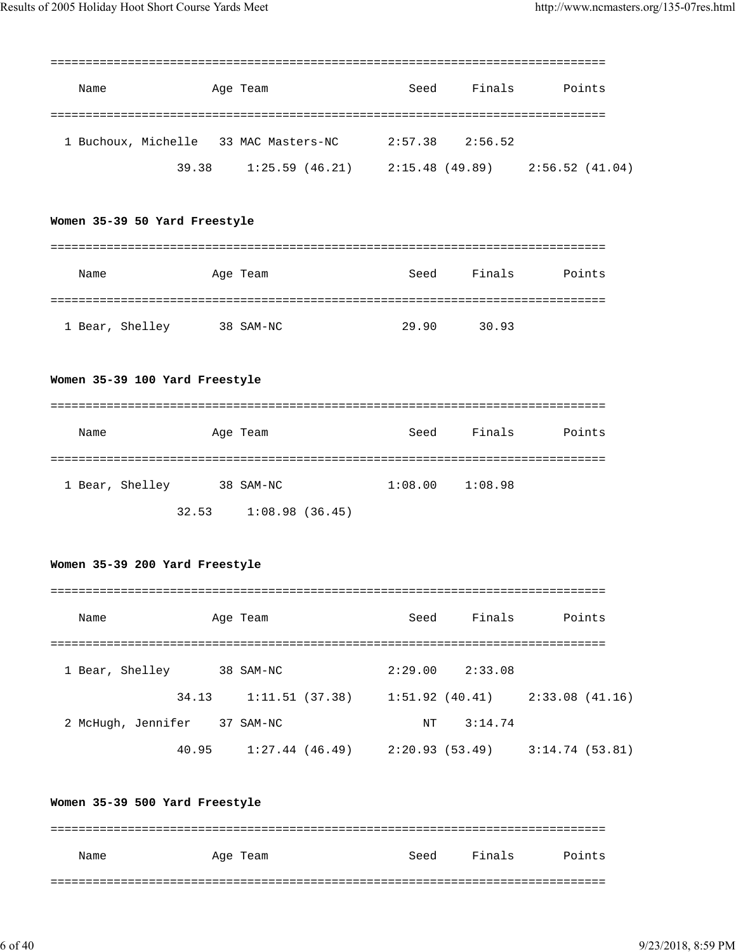| Name                                  | Age Team |                | Seed    | Finals          |                 | Points |
|---------------------------------------|----------|----------------|---------|-----------------|-----------------|--------|
| 1 Buchoux, Michelle 33 MAC Masters-NC |          |                | 2:57.38 | 2:56.52         |                 |        |
| 39.38                                 |          | 1:25.59(46.21) |         | 2:15.48 (49.89) | 2:56.52 (41.04) |        |

## **Women 35-39 50 Yard Freestyle**

| Name            | Age Team  | Seed  | Finals | Points |
|-----------------|-----------|-------|--------|--------|
|                 |           |       |        |        |
| 1 Bear, Shelley | 38 SAM-NC | 29.90 | 30.93  |        |

# **Women 35-39 100 Yard Freestyle**

| Name            |       | Age Team       | Seed    | Finals  | Points |
|-----------------|-------|----------------|---------|---------|--------|
|                 |       |                |         |         |        |
| 1 Bear, Shelley |       | 38 SAM-NC      | 1:08.00 | 1:08.98 |        |
|                 | 32.53 | 1:08.98(36.45) |         |         |        |

#### **Women 35-39 200 Yard Freestyle**

| Name               | Age Team       | Seed           | Finals  | Points         |
|--------------------|----------------|----------------|---------|----------------|
|                    |                |                |         |                |
| 1 Bear, Shelley    | 38 SAM-NC      | 2:29.00        | 2:33.08 |                |
| 34.13              | 1:11.51(37.38) | 1:51.92(40.41) |         | 2:33.08(41.16) |
| 2 McHugh, Jennifer | 37 SAM-NC      | NT             | 3:14.74 |                |
| 40.95              | 1:27.44(46.49) | 2:20.93(53.49) |         | 3:14.74(53.81) |

#### **Women 35-39 500 Yard Freestyle**

| Name | Age Team | Seed | Finals | Points |
|------|----------|------|--------|--------|
|      |          |      |        |        |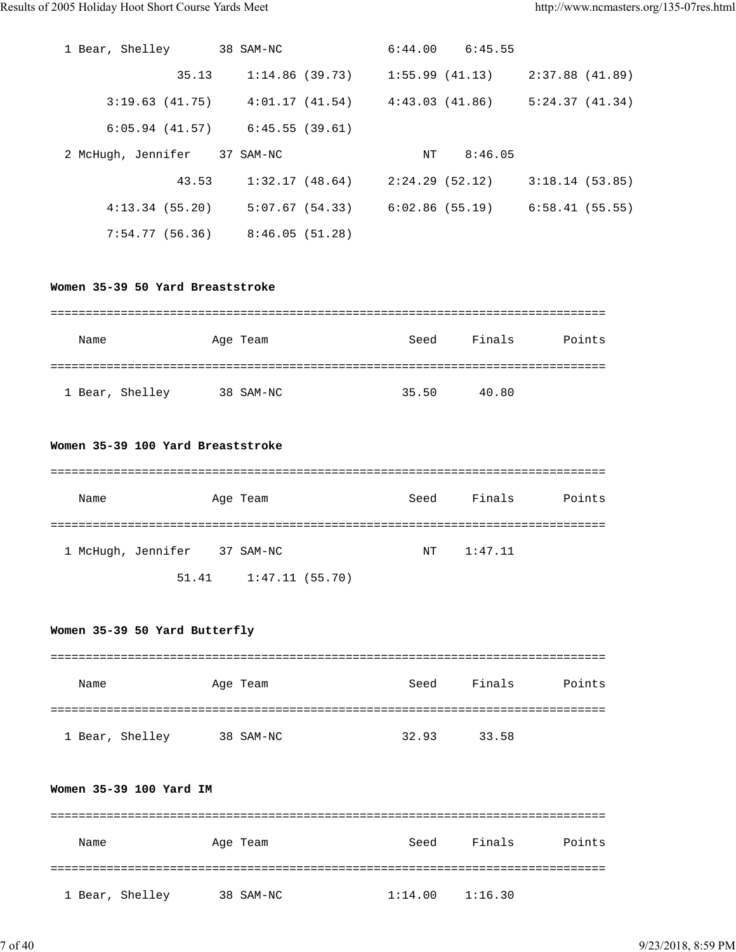| 1 Bear, Shelley              | 38 SAM-NC                           | $6:44.00$ $6:45.55$             |                 |
|------------------------------|-------------------------------------|---------------------------------|-----------------|
| 35.13                        | 1:14.86 (39.73)                     | 1:55.99(41.13)                  | 2:37.88 (41.89) |
| 3:19.63(41.75)               | 4:01.17(41.54)                      | 4:43.03 (41.86)                 | 5:24.37(41.34)  |
|                              | $6:05.94$ (41.57) $6:45.55$ (39.61) |                                 |                 |
| 2 McHugh, Jennifer 37 SAM-NC |                                     | 8:46.05<br>ΝT                   |                 |
| 43.53                        |                                     |                                 |                 |
|                              | 1:32.17(48.64)                      | 2:24.29 (52.12)                 | 3:18.14(53.85)  |
| 4:13.34(55.20)               |                                     | $5:07.67(54.33)$ 6:02.86(55.19) | 6:58.41(55.55)  |

#### **Women 35-39 50 Yard Breaststroke**

| Name            | Age Team  | Seed  | Finals<br>Points |
|-----------------|-----------|-------|------------------|
|                 |           |       |                  |
| 1 Bear, Shelley | 38 SAM-NC | 35.50 | 40.80            |

#### **Women 35-39 100 Yard Breaststroke**

| Name               |  | Age Team                  |  | Seed | Finals  | Points |
|--------------------|--|---------------------------|--|------|---------|--------|
|                    |  |                           |  |      |         |        |
| 1 McHugh, Jennifer |  | 37 SAM-NC                 |  | NT   | 1:47.11 |        |
|                    |  | $51.41$ $1:47.11$ (55.70) |  |      |         |        |

### **Women 35-39 50 Yard Butterfly**

| Name            | Age Team  | Seed  | Finals | Points |
|-----------------|-----------|-------|--------|--------|
|                 |           |       |        |        |
| 1 Bear, Shelley | 38 SAM-NC | 32.93 | 33.58  |        |

## **Women 35-39 100 Yard IM**

| Name            | Age Team  | Seed    | Finals  | Points |
|-----------------|-----------|---------|---------|--------|
|                 |           |         |         |        |
| 1 Bear, Shelley | 38 SAM-NC | 1:14.00 | 1:16.30 |        |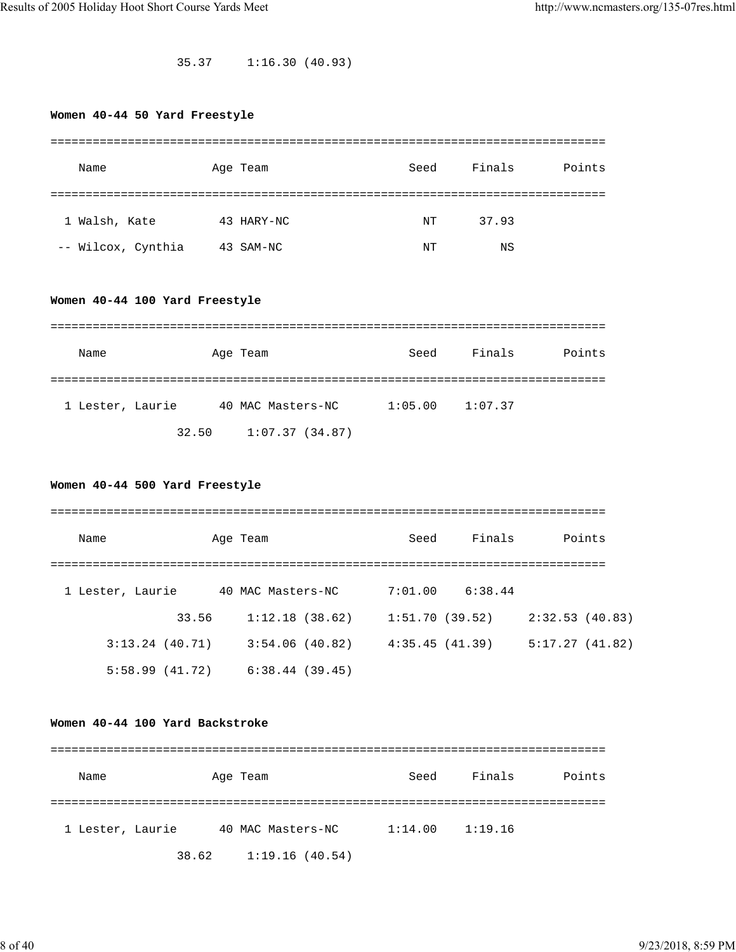35.37 1:16.30 (40.93)

# **Women 40-44 50 Yard Freestyle**

| Name               | Age Team   | Seed | Finals | Points |
|--------------------|------------|------|--------|--------|
|                    |            |      |        |        |
| 1 Walsh, Kate      | 43 HARY-NC | NT   | 37.93  |        |
| -- Wilcox, Cynthia | 43 SAM-NC  | NΤ   | ΝS     |        |

# **Women 40-44 100 Yard Freestyle**

| Name             |       | Age Team          | Seed    | Finals  | Points |
|------------------|-------|-------------------|---------|---------|--------|
|                  |       |                   |         |         |        |
| 1 Lester, Laurie |       | 40 MAC Masters-NC | 1:05.00 | 1:07.37 |        |
|                  | 32.50 | 1:07.37(34.87)    |         |         |        |

# **Women 40-44 500 Yard Freestyle**

| Name             |       | Age Team          | Seed           | Finals  | Points         |
|------------------|-------|-------------------|----------------|---------|----------------|
|                  |       |                   |                |         |                |
| 1 Lester, Laurie |       | 40 MAC Masters-NC | 7:01.00        | 6:38.44 |                |
|                  | 33.56 | 1:12.18(38.62)    | 1:51.70(39.52) |         | 2:32.53(40.83) |
| 3:13.24(40.71)   |       | 3:54.06(40.82)    | 4:35.45(41.39) |         | 5:17.27(41.82) |
| 5:58.99(41.72)   |       | 6:38.44(39.45)    |                |         |                |

#### **Women 40-44 100 Yard Backstroke**

| Name             |       | Age Team          | Seed    | Finals  | Points |
|------------------|-------|-------------------|---------|---------|--------|
|                  |       |                   |         |         |        |
| 1 Lester, Laurie |       | 40 MAC Masters-NC | 1:14.00 | 1:19.16 |        |
|                  | 38.62 | 1:19.16(40.54)    |         |         |        |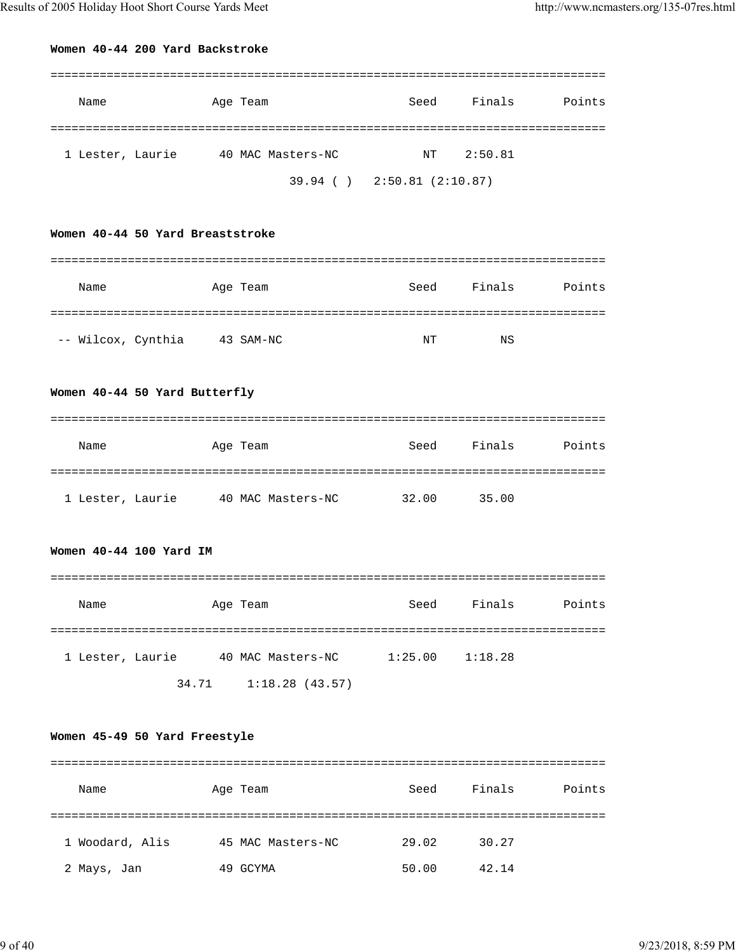# **Women 40-44 200 Yard Backstroke**

| Name             | Age Team          | Seed                        | Finals  | Points |
|------------------|-------------------|-----------------------------|---------|--------|
| 1 Lester, Laurie | 40 MAC Masters-NC | NT                          | 2:50.81 |        |
|                  |                   | 39.94 ( ) 2:50.81 (2:10.87) |         |        |

## **Women 40-44 50 Yard Breaststroke**

| Name               | Age Team  | Seed | Finals | Points |
|--------------------|-----------|------|--------|--------|
|                    |           |      |        |        |
| -- Wilcox, Cynthia | 43 SAM-NC | NΤ   | ΝS     |        |

# **Women 40-44 50 Yard Butterfly**

| Name             | Age Team          | Seed  | Finals | Points |
|------------------|-------------------|-------|--------|--------|
|                  |                   |       |        |        |
| 1 Lester, Laurie | 40 MAC Masters-NC | 32.00 | 35.00  |        |

#### **Women 40-44 100 Yard IM**

| Name             | Age Team                | Seed    | Finals  | Points |
|------------------|-------------------------|---------|---------|--------|
| 1 Lester, Laurie | 40 MAC Masters-NC       | 1:25.00 | 1:18.28 |        |
|                  | 1:18.28(43.57)<br>34.71 |         |         |        |

# **Women 45-49 50 Yard Freestyle**

| Name            | Age Team          | Seed  | Finals | Points |
|-----------------|-------------------|-------|--------|--------|
|                 |                   |       |        |        |
| 1 Woodard, Alis | 45 MAC Masters-NC | 29.02 | 30.27  |        |
| 2 Mays, Jan     | 49<br>GCYMA       | 50.00 | 42.14  |        |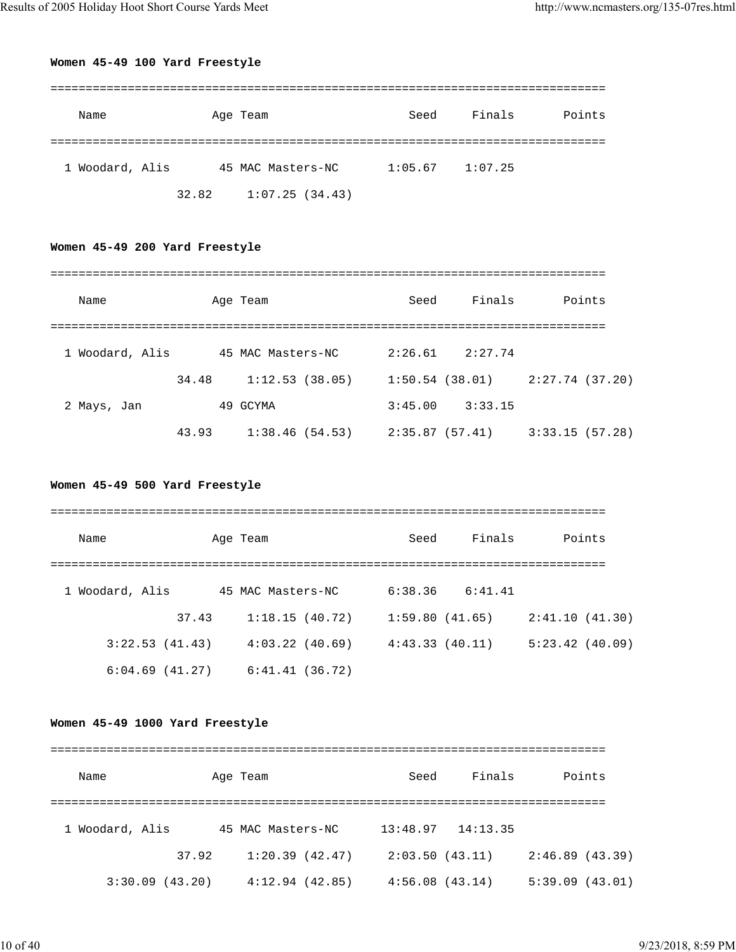# **Women 45-49 100 Yard Freestyle**

| Name            |       | Age Team          | Seed                | Finals | Points |
|-----------------|-------|-------------------|---------------------|--------|--------|
|                 |       |                   |                     |        |        |
| 1 Woodard, Alis |       | 45 MAC Masters-NC | $1:05.67$ $1:07.25$ |        |        |
|                 | 32.82 | 1:07.25(34.43)    |                     |        |        |

# **Women 45-49 200 Yard Freestyle**

| Name            |       | Age Team          | Seed           | Finals  | Points         |
|-----------------|-------|-------------------|----------------|---------|----------------|
|                 |       |                   |                |         |                |
| 1 Woodard, Alis |       | 45 MAC Masters-NC | 2:26.61        | 2:27.74 |                |
|                 | 34.48 | 1:12.53(38.05)    | 1:50.54(38.01) |         | 2:27.74(37.20) |
| 2 Mays, Jan     |       | 49 GCYMA          | 3:45.00        | 3:33.15 |                |
|                 | 43.93 | 1:38.46(54.53)    | 2:35.87(57.41) |         | 3:33.15(57.28) |

# **Women 45-49 500 Yard Freestyle**

| Name            |       | Age Team          | Seed           | Finals  | Points         |
|-----------------|-------|-------------------|----------------|---------|----------------|
|                 |       |                   |                |         |                |
| 1 Woodard, Alis |       | 45 MAC Masters-NC | 6:38.36        | 6:41.41 |                |
|                 | 37.43 | 1:18.15(40.72)    | 1:59.80(41.65) |         | 2:41.10(41.30) |
| 3:22.53(41.43)  |       | 4:03.22(40.69)    | 4:43.33(40.11) |         | 5:23.42(40.09) |
| 6:04.69(41.27)  |       | 6:41.41(36.72)    |                |         |                |

# **Women 45-49 1000 Yard Freestyle**

| Name            |       | Age Team          | Seed           | Finals   | Points         |
|-----------------|-------|-------------------|----------------|----------|----------------|
|                 |       |                   |                |          |                |
| 1 Woodard, Alis |       | 45 MAC Masters-NC | 13:48.97       | 14:13.35 |                |
|                 | 37.92 | 1:20.39(42.47)    | 2:03.50(43.11) |          | 2:46.89(43.39) |
| 3:30.09(43.20)  |       | 4:12.94(42.85)    | 4:56.08(43.14) |          | 5:39.09(43.01) |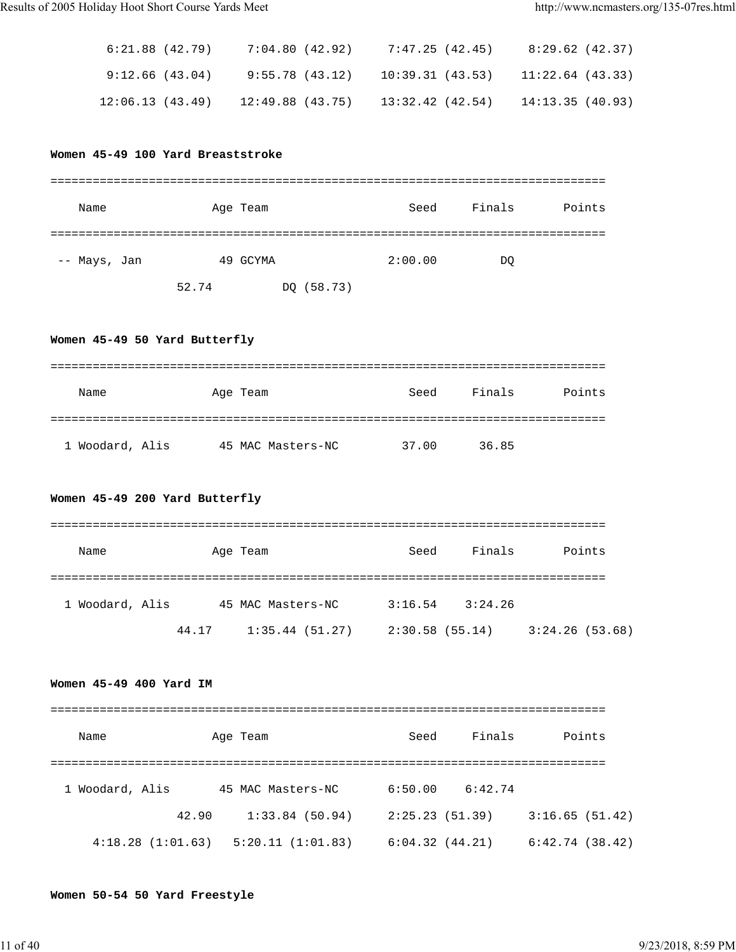| 8:29.62 (42.37) | 7:47.25 (42.45)                                          | 7:04.80 (42.92) | 6:21.88 (42.79) |
|-----------------|----------------------------------------------------------|-----------------|-----------------|
|                 | $9:55.78$ (43.12) 10:39.31 (43.53) 11:22.64 (43.33)      |                 | 9:12.66 (43.04) |
|                 | $12:49.88$ (43.75) $13:32.42$ (42.54) $14:13.35$ (40.93) |                 | 12:06.13(43.49) |

## **Women 45-49 100 Yard Breaststroke**

| Name         | Age Team |            | Seed    | Finals | Points |
|--------------|----------|------------|---------|--------|--------|
|              |          |            |         |        |        |
| -- Mays, Jan |          | 49 GCYMA   | 2:00.00 | DQ     |        |
|              | 52.74    | DQ (58.73) |         |        |        |

# **Women 45-49 50 Yard Butterfly**

| Name            | Age Team          | Seed  | Finals | Points |
|-----------------|-------------------|-------|--------|--------|
|                 |                   |       |        |        |
| 1 Woodard, Alis | 45 MAC Masters-NC | 37.00 | 36.85  |        |

# **Women 45-49 200 Yard Butterfly**

| Name            |       | Age Team          | Seed            | Finals  | Points         |
|-----------------|-------|-------------------|-----------------|---------|----------------|
|                 |       |                   |                 |         |                |
| 1 Woodard, Alis |       | 45 MAC Masters-NC | 3:16.54         | 3:24.26 |                |
|                 | 44.17 | 1:35.44(51.27)    | 2:30.58 (55.14) |         | 3:24.26(53.68) |

# **Women 45-49 400 Yard IM**

| Name             |       | Age Team          | Seed           | Finals  | Points         |
|------------------|-------|-------------------|----------------|---------|----------------|
|                  |       |                   |                |         |                |
| 1 Woodard, Alis  |       | 45 MAC Masters-NC | 6:50.00        | 6:42.74 |                |
|                  | 42.90 | 1:33.84(50.94)    | 2:25.23(51.39) |         | 3:16.65(51.42) |
| 4:18.28(1:01.63) |       | 5:20.11(1:01.83)  | 6:04.32(44.21) |         | 6:42.74(38.42) |

# **Women 50-54 50 Yard Freestyle**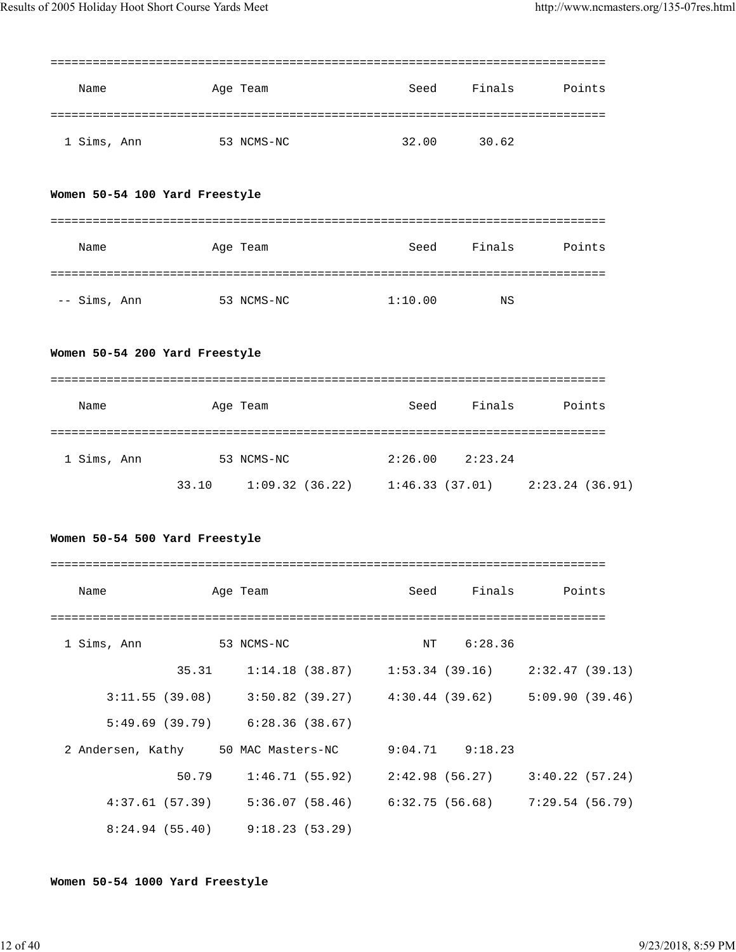|                                                     |            |                                     |         |                     | =========================                                               |
|-----------------------------------------------------|------------|-------------------------------------|---------|---------------------|-------------------------------------------------------------------------|
| Name                                                |            | Age Team                            | Seed    | Finals              | Points                                                                  |
| 1 Sims, Ann                                         | 53 NCMS-NC |                                     | 32.00   | 30.62               |                                                                         |
| Women 50-54 100 Yard Freestyle                      |            |                                     |         |                     |                                                                         |
| Name                                                |            | Age Team                            | Seed    | Finals              | Points                                                                  |
| -- Sims, Ann                                        | 53 NCMS-NC |                                     | 1:10.00 | ΝS                  |                                                                         |
| Women 50-54 200 Yard Freestyle                      |            |                                     |         |                     |                                                                         |
| Name                                                |            | Age Team                            |         | Seed Finals         | Points                                                                  |
|                                                     |            |                                     |         |                     |                                                                         |
| 1 Sims, Ann                                         | 53 NCMS-NC |                                     |         | $2:26.00$ $2:23.24$ |                                                                         |
|                                                     | 33.10      |                                     |         |                     | $1:09.32$ (36.22) $1:46.33$ (37.01) $2:23.24$ (36.91)                   |
| Women 50-54 500 Yard Freestyle                      |            |                                     |         |                     |                                                                         |
| Name                                                |            | Age Team                            | Seed    | Finals              | Points                                                                  |
| 1 Sims, Ann 53 NCMS-NC                              |            |                                     |         | NT 6:28.36          |                                                                         |
|                                                     | 35.31      |                                     |         |                     | $1:14.18$ (38.87) $1:53.34$ (39.16) $2:32.47$ (39.13)                   |
|                                                     |            |                                     |         |                     | $3:11.55$ (39.08) $3:50.82$ (39.27) $4:30.44$ (39.62) $5:09.90$ (39.46) |
|                                                     |            | $5:49.69(39.79)$ $6:28.36(38.67)$   |         |                     |                                                                         |
| 2 Andersen, Kathy 50 MAC Masters-NC 9:04.71 9:18.23 |            |                                     |         |                     |                                                                         |
|                                                     | 50.79      |                                     |         |                     | $1:46.71(55.92)$ $2:42.98(56.27)$ $3:40.22(57.24)$                      |
|                                                     |            |                                     |         |                     | 4:37.61 (57.39) 5:36.07 (58.46) 6:32.75 (56.68) 7:29.54 (56.79)         |
|                                                     |            | $8:24.94$ (55.40) $9:18.23$ (53.29) |         |                     |                                                                         |

# **Women 50-54 1000 Yard Freestyle**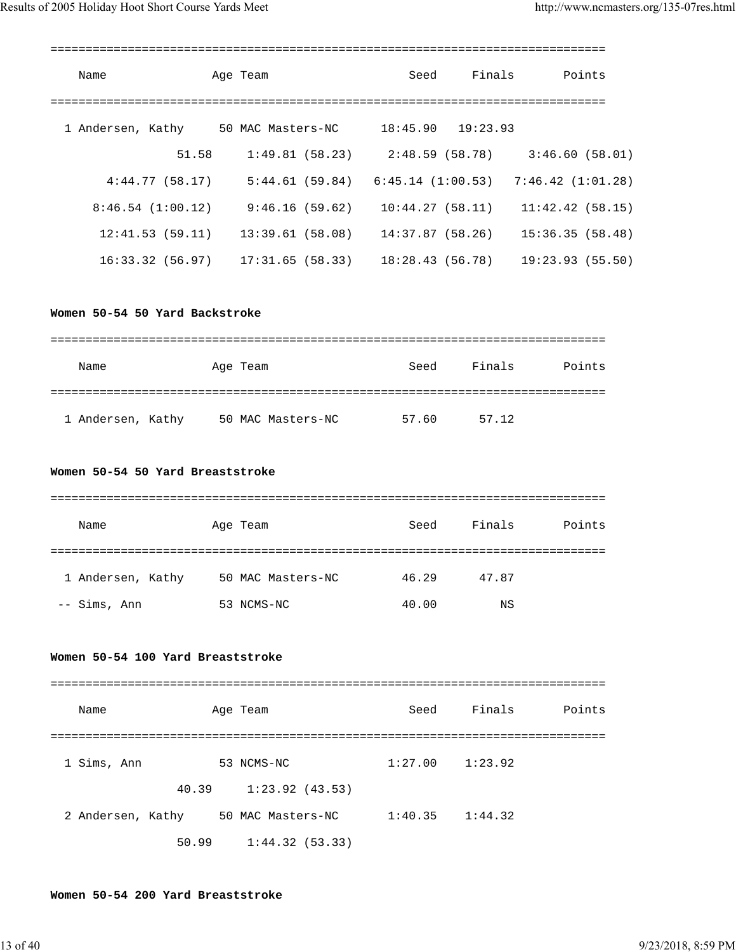| Name                                                  | Age Team                                                                    | Seed | Finals Points                                      |
|-------------------------------------------------------|-----------------------------------------------------------------------------|------|----------------------------------------------------|
| 1 Andersen, Kathy 50 MAC Masters-NC 18:45.90 19:23.93 |                                                                             |      |                                                    |
| 51.58                                                 |                                                                             |      | $1:49.81(58.23)$ $2:48.59(58.78)$ $3:46.60(58.01)$ |
|                                                       | $4:44.77$ (58.17) $5:44.61$ (59.84) $6:45.14$ (1:00.53) 7:46.42 (1:01.28)   |      |                                                    |
|                                                       | $8:46.54$ (1:00.12) 9:46.16 (59.62) 10:44.27 (58.11) 11:42.42 (58.15)       |      |                                                    |
|                                                       | $12:41.53(59.11)$ $13:39.61(58.08)$ $14:37.87(58.26)$ $15:36.35(58.48)$     |      |                                                    |
|                                                       | $16:33.32$ (56.97) $17:31.65$ (58.33) $18:28.43$ (56.78) $19:23.93$ (55.50) |      |                                                    |
| Women 50-54 50 Yard Backstroke                        |                                                                             |      |                                                    |

| Name              | Age Team          | Seed  | Finals | Points |
|-------------------|-------------------|-------|--------|--------|
| 1 Andersen, Kathy | 50 MAC Masters-NC | 57.60 | 57.12  |        |

#### **Women 50-54 50 Yard Breaststroke**

| Name              | Age Team          | Seed  | Finals | Points |
|-------------------|-------------------|-------|--------|--------|
|                   |                   |       |        |        |
| 1 Andersen, Kathy | 50 MAC Masters-NC | 46.29 | 47.87  |        |
| -- Sims, Ann      | 53 NCMS-NC        | 40.00 | NS     |        |

#### **Women 50-54 100 Yard Breaststroke**

| Name              |       | Age Team          | Seed                | Finals  | Points |
|-------------------|-------|-------------------|---------------------|---------|--------|
|                   |       |                   |                     |         |        |
| 1 Sims, Ann       |       | 53 NCMS-NC        | $1:27.00$ $1:23.92$ |         |        |
|                   | 40.39 | 1:23.92(43.53)    |                     |         |        |
| 2 Andersen, Kathy |       | 50 MAC Masters-NC | 1:40.35             | 1:44.32 |        |
|                   | 50.99 | 1:44.32(53.33)    |                     |         |        |

**Women 50-54 200 Yard Breaststroke**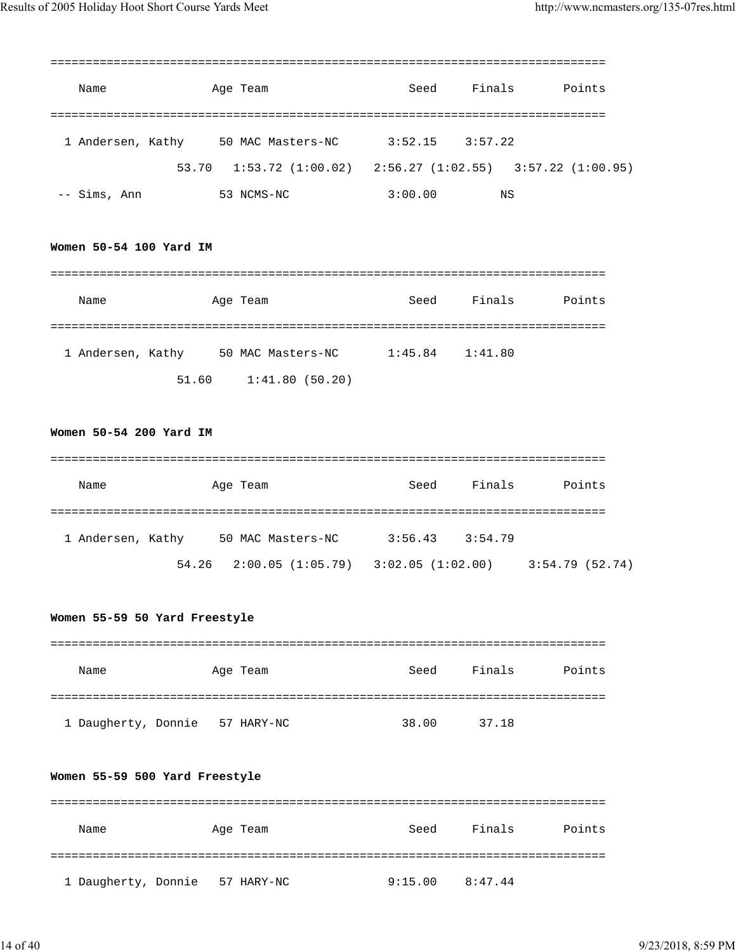| Name              |       | Age Team                                                    | Seed    | Finals  | Points |
|-------------------|-------|-------------------------------------------------------------|---------|---------|--------|
|                   |       |                                                             |         |         |        |
| 1 Andersen, Kathy |       | 50 MAC Masters-NC                                           | 3:52.15 | 3:57.22 |        |
|                   | 53.70 | $1:53.72$ (1:00.02) $2:56.27$ (1:02.55) $3:57.22$ (1:00.95) |         |         |        |
| -- Sims, Ann      |       | 53 NCMS-NC                                                  | 3:00.00 | ΝS      |        |

#### **Women 50-54 100 Yard IM**

| Name              |       | Age Team          | Seed    | Finals  | Points |
|-------------------|-------|-------------------|---------|---------|--------|
|                   |       |                   |         |         |        |
| 1 Andersen, Kathy |       | 50 MAC Masters-NC | 1:45.84 | 1:41.80 |        |
|                   | 51.60 | 1:41.80(50.20)    |         |         |        |

# **Women 50-54 200 Yard IM**

| Name              | Age Team                                            | Seed    | Finals  | Points         |
|-------------------|-----------------------------------------------------|---------|---------|----------------|
| 1 Andersen, Kathy | 50 MAC Masters-NC                                   | 3:56.43 | 3:54.79 |                |
|                   | $54.26$ $2:00.05$ $(1:05.79)$ $3:02.05$ $(1:02.00)$ |         |         | 3:54.79(52.74) |

#### **Women 55-59 50 Yard Freestyle**

| Name                | Age Team   | Seed  | Finals | Points |
|---------------------|------------|-------|--------|--------|
|                     |            |       |        |        |
| 1 Daugherty, Donnie | 57 HARY-NC | 38.00 | 37.18  |        |

#### **Women 55-59 500 Yard Freestyle**

| Name                | Age Team   | Seed    | Finals  | Points |
|---------------------|------------|---------|---------|--------|
|                     |            |         |         |        |
| 1 Daugherty, Donnie | 57 HARY-NC | 9:15.00 | 8:47.44 |        |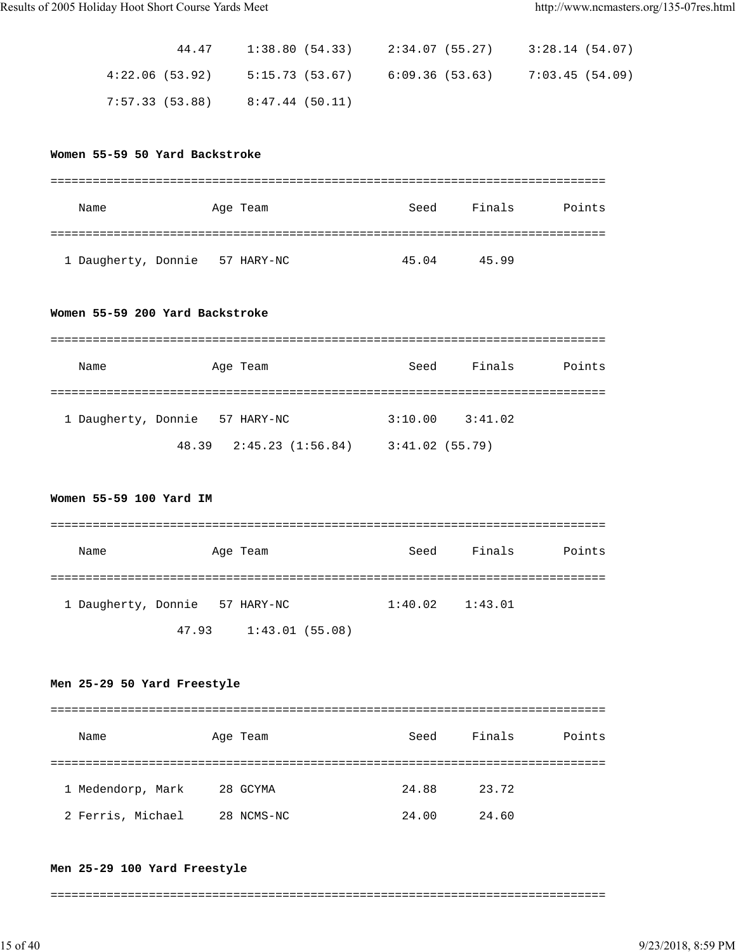| 44.47           |                   | $1:38.80$ (54.33) $2:34.07$ (55.27) $3:28.14$ (54.07) |  |
|-----------------|-------------------|-------------------------------------------------------|--|
| 4:22.06 (53.92) |                   | $5:15.73$ (53.67) 6:09.36 (53.63) 7:03.45 (54.09)     |  |
| 7:57.33 (53.88) | $8:47.44$ (50.11) |                                                       |  |

#### **Women 55-59 50 Yard Backstroke**

| Name                | Age Team   | Seed  | Finals | Points |
|---------------------|------------|-------|--------|--------|
|                     |            |       |        |        |
| 1 Daugherty, Donnie | 57 HARY-NC | 45.04 | 45.99  |        |

#### **Women 55-59 200 Yard Backstroke**

| Name                | Age Team                      | Seed           | Finals  | Points |
|---------------------|-------------------------------|----------------|---------|--------|
|                     |                               |                |         |        |
| 1 Daugherty, Donnie | 57 HARY-NC                    | 3:10.00        | 3:41.02 |        |
|                     | $48.39$ $2:45.23$ $(1:56.84)$ | 3:41.02(55.79) |         |        |

# **Women 55-59 100 Yard IM**

| Name                |       | Age Team       | Seed                | Finals | Points |
|---------------------|-------|----------------|---------------------|--------|--------|
|                     |       |                |                     |        |        |
| 1 Daugherty, Donnie |       | 57 HARY-NC     | $1:40.02$ $1:43.01$ |        |        |
|                     | 47.93 | 1:43.01(55.08) |                     |        |        |

## **Men 25-29 50 Yard Freestyle**

| Name              | Age Team   | Seed  | Finals | Points |
|-------------------|------------|-------|--------|--------|
|                   |            |       |        |        |
| 1 Medendorp, Mark | 28 GCYMA   | 24.88 | 23.72  |        |
| 2 Ferris, Michael | 28 NCMS-NC | 24.00 | 24.60  |        |

#### **Men 25-29 100 Yard Freestyle**

===============================================================================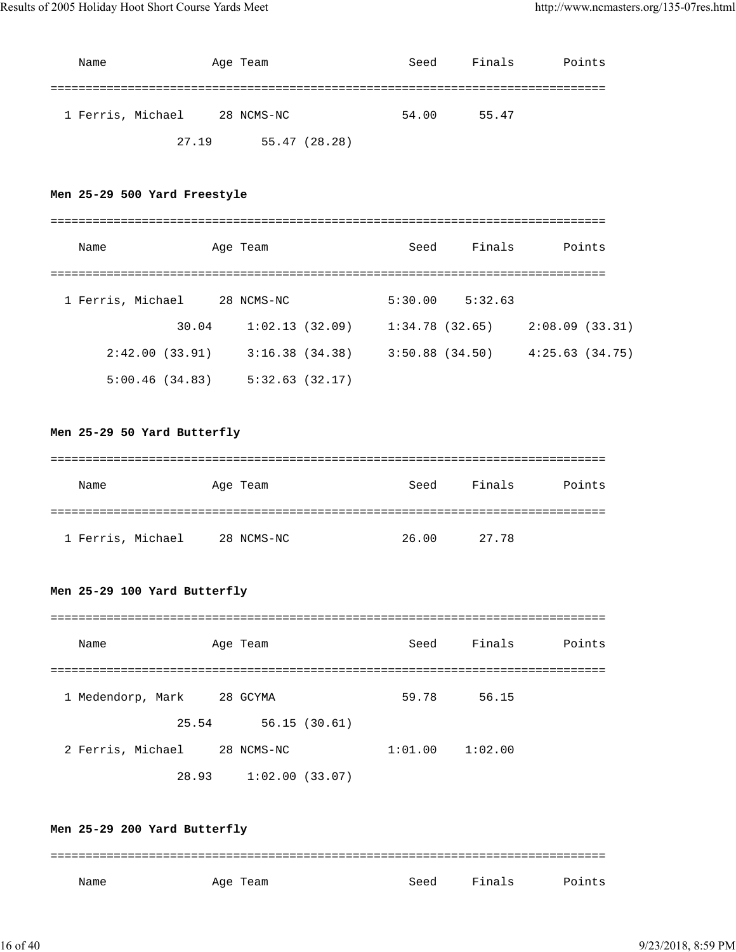| Name              | Age Team      | Seed  | Finals | Points |
|-------------------|---------------|-------|--------|--------|
| 1 Ferris, Michael | 28 NCMS-NC    | 54.00 | 55.47  |        |
| 27.19             | 55.47 (28.28) |       |        |        |

# **Men 25-29 500 Yard Freestyle**

| Name              |       | Age Team       | Seed              | Finals  |                | Points |
|-------------------|-------|----------------|-------------------|---------|----------------|--------|
|                   |       |                |                   |         |                |        |
| 1 Ferris, Michael |       | 28 NCMS-NC     | 5:30.00           | 5:32.63 |                |        |
|                   | 30.04 | 1:02.13(32.09) | 1:34.78(32.65)    |         | 2:08.09(33.31) |        |
| 2:42.00(33.91)    |       | 3:16.38(34.38) | $3:50.88$ (34.50) |         | 4:25.63(34.75) |        |
| 5:00.46(34.83)    |       | 5:32.63(32.17) |                   |         |                |        |

# **Men 25-29 50 Yard Butterfly**

| Name              | Age Team   | Seed  | Finals | Points |
|-------------------|------------|-------|--------|--------|
|                   |            |       |        |        |
| 1 Ferris, Michael | 28 NCMS-NC | 26.00 | 27.78  |        |

# **Men 25-29 100 Yard Butterfly**

| Name              | Age Team       |              | Seed    | Finals  | Points |
|-------------------|----------------|--------------|---------|---------|--------|
|                   |                |              |         |         |        |
| 1 Medendorp, Mark | 28 GCYMA       |              | 59.78   | 56.15   |        |
| 25.54             |                | 56.15(30.61) |         |         |        |
| 2 Ferris, Michael | 28 NCMS-NC     |              | 1:01.00 | 1:02.00 |        |
| 28.93             | 1:02.00(33.07) |              |         |         |        |

**Men 25-29 200 Yard Butterfly** =============================================================================== Name Month Age Team Seed Finals Points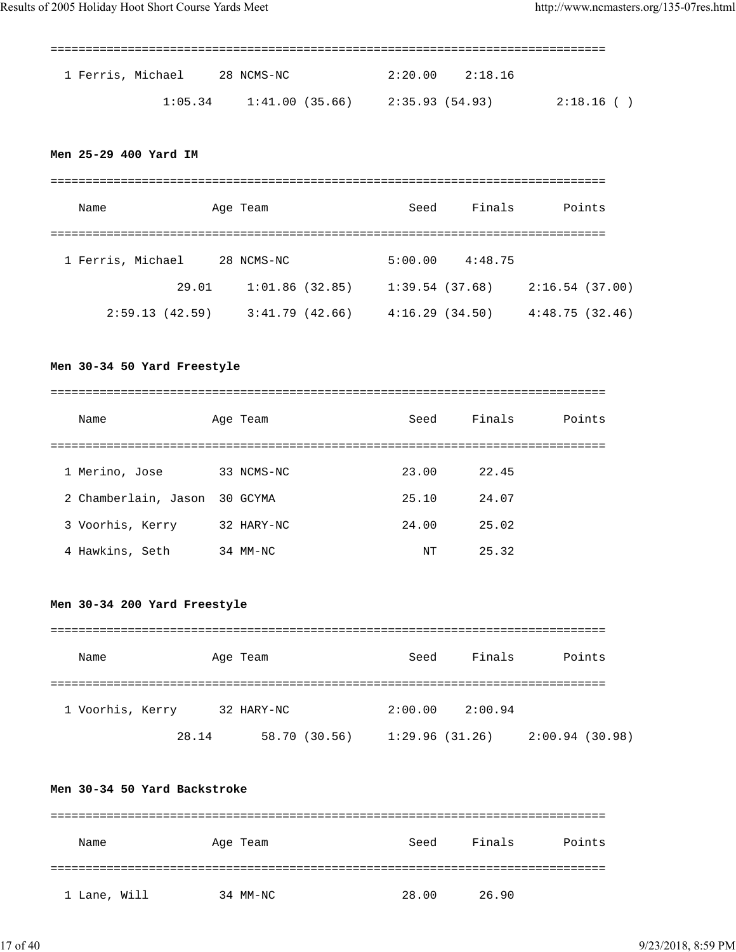| 1 Ferris, Michael 28 NCMS-NC |                                               | $2:20.00$ $2:18.16$ |             |
|------------------------------|-----------------------------------------------|---------------------|-------------|
|                              | $1:05.34$ $1:41.00$ (35.66) $2:35.93$ (54.93) |                     | 2:18.16 ( ) |

# **Men 25-29 400 Yard IM**

| Name              |       | Age Team       | Seed           | Finals  | Points         |
|-------------------|-------|----------------|----------------|---------|----------------|
| 1 Ferris, Michael |       | 28 NCMS-NC     | 5:00.00        | 4:48.75 |                |
|                   | 29.01 | 1:01.86(32.85) | 1:39.54(37.68) |         | 2:16.54(37.00) |
| 2:59.13(42.59)    |       | 3:41.79(42.66) | 4:16.29(34.50) |         | 4:48.75(32.46) |

# **Men 30-34 50 Yard Freestyle**

| Name                 | Age Team   | Seed  | Finals | Points |
|----------------------|------------|-------|--------|--------|
|                      |            |       |        |        |
| 1 Merino, Jose       | 33 NCMS-NC | 23.00 | 22.45  |        |
| 2 Chamberlain, Jason | 30 GCYMA   | 25.10 | 24.07  |        |
| 3 Voorhis, Kerry     | 32 HARY-NC | 24.00 | 25.02  |        |
| 4 Hawkins, Seth      | 34 MM-NC   | NT    | 25.32  |        |

# **Men 30-34 200 Yard Freestyle**

| Name             | Age Team   |               | Seed           | Finals  | Points         |
|------------------|------------|---------------|----------------|---------|----------------|
|                  |            |               |                |         |                |
| 1 Voorhis, Kerry | 32 HARY-NC |               | 2:00.00        | 2:00.94 |                |
|                  | 28.14      | 58.70 (30.56) | 1:29.96(31.26) |         | 2:00.94(30.98) |

## **Men 30-34 50 Yard Backstroke**

| Name         | Age Team | Seed  | Finals | Points |
|--------------|----------|-------|--------|--------|
|              |          |       |        |        |
| 1 Lane, Will | 34 MM-NC | 28.00 | 26.90  |        |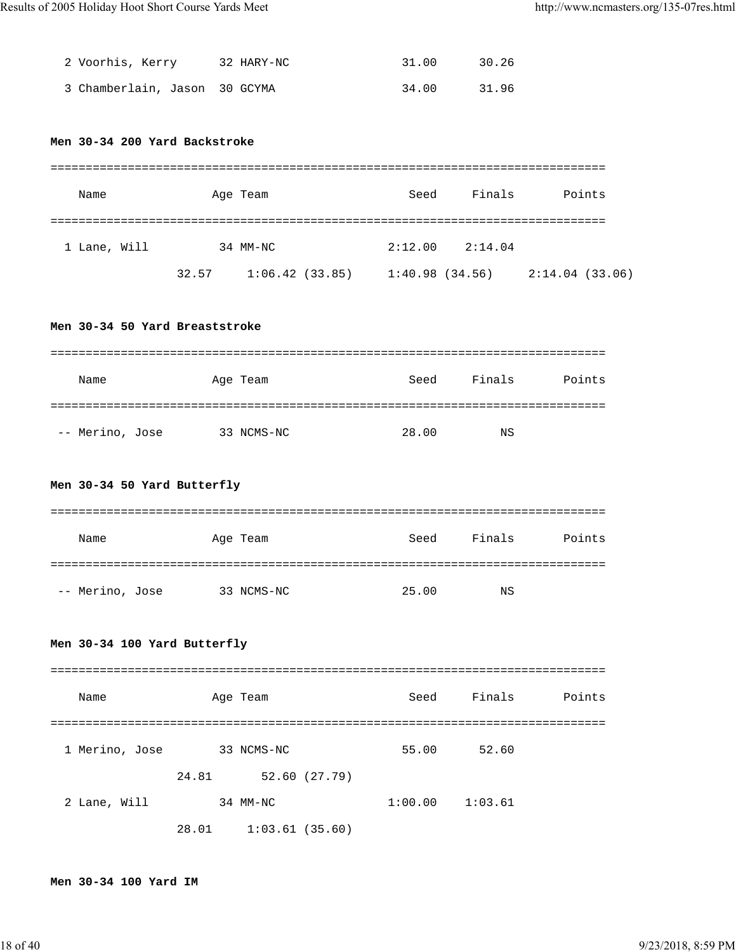| 2 Voorhis, Kerry              | 32 HARY-NC | 31.00 | 30.26 |
|-------------------------------|------------|-------|-------|
| 3 Chamberlain, Jason 30 GCYMA |            | 34.00 | 31.96 |

# **Men 30-34 200 Yard Backstroke**

| Name         |       | Age Team       | Seed           | Finals  | Points         |
|--------------|-------|----------------|----------------|---------|----------------|
| 1 Lane, Will |       | 34 MM-NC       | 2:12.00        | 2:14.04 |                |
|              | 32.57 | 1:06.42(33.85) | 1:40.98(34.56) |         | 2:14.04(33.06) |

### **Men 30-34 50 Yard Breaststroke**

| Name            | Age Team   | Seed  | Finals | Points |
|-----------------|------------|-------|--------|--------|
|                 |            |       |        |        |
| -- Merino, Jose | 33 NCMS-NC | 28.00 | NS     |        |

# **Men 30-34 50 Yard Butterfly**

| Name            | Age Team   | Seed  | Finals | Points |
|-----------------|------------|-------|--------|--------|
|                 |            |       |        |        |
| -- Merino, Jose | 33 NCMS-NC | 25.00 | NS     |        |

# **Men 30-34 100 Yard Butterfly**

| Name           |       | Age Team       | Seed    | Finals  | Points |
|----------------|-------|----------------|---------|---------|--------|
|                |       |                |         |         |        |
| 1 Merino, Jose |       | 33 NCMS-NC     | 55.00   | 52.60   |        |
|                | 24.81 | 52.60(27.79)   |         |         |        |
| 2 Lane, Will   |       | 34 MM-NC       | 1:00.00 | 1:03.61 |        |
|                | 28.01 | 1:03.61(35.60) |         |         |        |

#### **Men 30-34 100 Yard IM**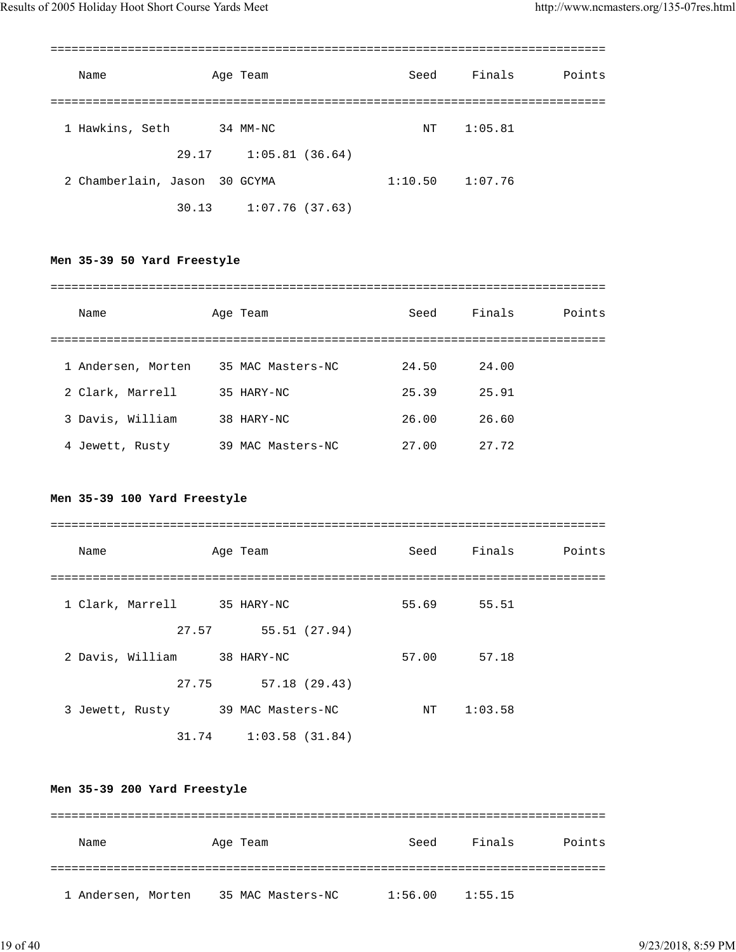| Name                          | Age Team       | Seed                | Finals  | Points |
|-------------------------------|----------------|---------------------|---------|--------|
|                               |                |                     |         |        |
| 1 Hawkins, Seth               | 34 MM-NC       | NΤ                  | 1:05.81 |        |
| 29.17                         | 1:05.81(36.64) |                     |         |        |
| 2 Chamberlain, Jason 30 GCYMA |                | $1:10.50$ $1:07.76$ |         |        |
| 30.13                         | 1:07.76(37.63) |                     |         |        |

# **Men 35-39 50 Yard Freestyle**

| Name               | Age Team             | Seed  | Finals | Points |
|--------------------|----------------------|-------|--------|--------|
|                    |                      |       |        |        |
| 1 Andersen, Morten | 35 MAC Masters-NC    | 24.50 | 24.00  |        |
| 2 Clark, Marrell   | 35 HARY-NC           | 25.39 | 25.91  |        |
| 3 Davis, William   | 38 HARY-NC           | 26.00 | 26.60  |        |
| 4 Jewett, Rusty    | MAC Masters-NC<br>39 | 27.00 | 27.72  |        |

# **Men 35-39 100 Yard Freestyle**

| Name                        | Age Team                  | Seed  | Finals      | Points |
|-----------------------------|---------------------------|-------|-------------|--------|
|                             |                           |       |             |        |
| 1 Clark, Marrell 35 HARY-NC |                           |       | 55.69 55.51 |        |
| 27.57                       | 55.51 (27.94)             |       |             |        |
| 2 Davis, William            | 38 HARY-NC                | 57.00 | 57.18       |        |
| 27.75                       | 57.18 (29.43)             |       |             |        |
| 3 Jewett, Rusty             | 39 MAC Masters-NC         | NT    | 1:03.58     |        |
|                             | $31.74$ $1:03.58$ (31.84) |       |             |        |

# **Men 35-39 200 Yard Freestyle**

| Name               | Age Team |                   | Seed    | Finals  | Points |
|--------------------|----------|-------------------|---------|---------|--------|
|                    |          |                   |         |         |        |
| 1 Andersen, Morten |          | 35 MAC Masters-NC | 1:56.00 | 1:55.15 |        |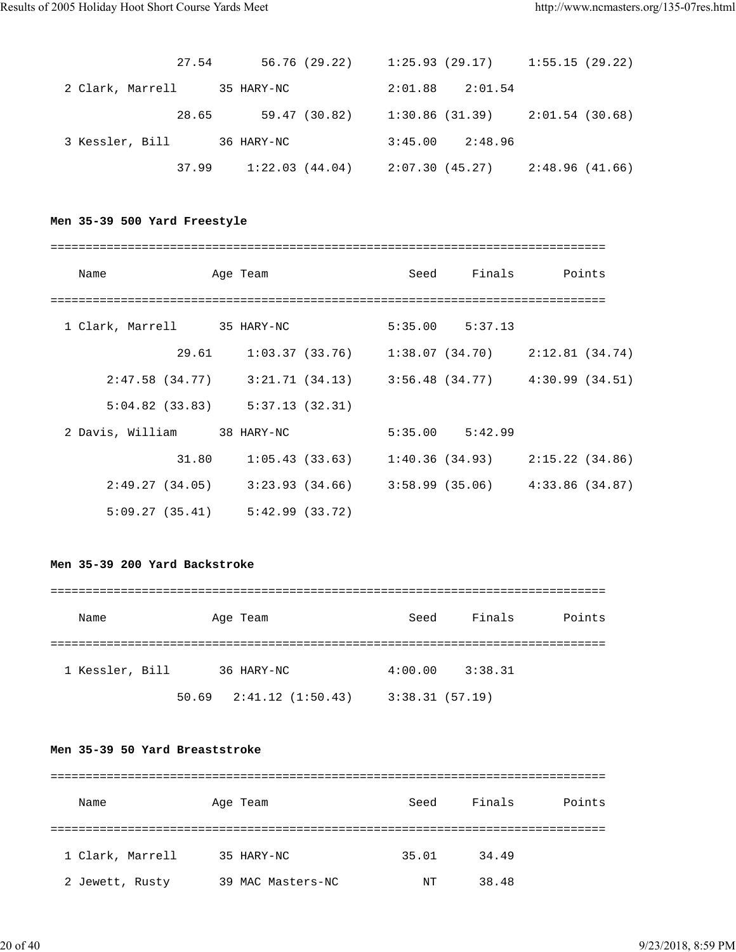| 27.54            | 56.76 (29.22)  | $1:25.93$ (29.17) $1:55.15$ (29.22) |                 |
|------------------|----------------|-------------------------------------|-----------------|
| 2 Clark, Marrell | 35 HARY-NC     | 2:01.88<br>2:01.54                  |                 |
| 28.65            | 59.47 (30.82)  | $1:30.86$ (31.39) $2:01.54$ (30.68) |                 |
| 3 Kessler, Bill  | 36 HARY-NC     | $3:45.00$ 2:48.96                   |                 |
| 37.99            | 1:22.03(44.04) | 2:07.30 (45.27)                     | 2:48.96 (41.66) |

## **Men 35-39 500 Yard Freestyle**

| Name                                                                    | Age Team |  |  |  | Seed Finals Points                                    |  |  |
|-------------------------------------------------------------------------|----------|--|--|--|-------------------------------------------------------|--|--|
|                                                                         |          |  |  |  |                                                       |  |  |
| 1 Clark, Marrell 35 HARY-NC                                             |          |  |  |  | $5:35.00$ $5:37.13$                                   |  |  |
|                                                                         |          |  |  |  | 29.61 1:03.37 (33.76) 1:38.07 (34.70) 2:12.81 (34.74) |  |  |
| $2:47.58$ (34.77) $3:21.71$ (34.13) $3:56.48$ (34.77) $4:30.99$ (34.51) |          |  |  |  |                                                       |  |  |
| $5:04.82$ (33.83) $5:37.13$ (32.31)                                     |          |  |  |  |                                                       |  |  |
| 2 Davis, William 38 HARY-NC                                             |          |  |  |  | $5:35.00$ $5:42.99$                                   |  |  |
|                                                                         | 31.80    |  |  |  | $1:05.43$ (33.63) $1:40.36$ (34.93) $2:15.22$ (34.86) |  |  |
| $2:49.27$ (34.05) $3:23.93$ (34.66) $3:58.99$ (35.06) $4:33.86$ (34.87) |          |  |  |  |                                                       |  |  |
| $5:09.27(35.41)$ $5:42.99(33.72)$                                       |          |  |  |  |                                                       |  |  |

#### **Men 35-39 200 Yard Backstroke**

# =============================================================================== Name Age Team Seed Finals Points =============================================================================== 1 Kessler, Bill 36 HARY-NC 4:00.00 3:38.31 50.69 2:41.12 (1:50.43) 3:38.31 (57.19)

# **Men 35-39 50 Yard Breaststroke**

| Name             | Age Team          | Seed  | Finals | Points |  |  |
|------------------|-------------------|-------|--------|--------|--|--|
|                  |                   |       |        |        |  |  |
| 1 Clark, Marrell | 35 HARY-NC        | 35.01 | 34.49  |        |  |  |
| 2 Jewett, Rusty  | 39 MAC Masters-NC | NΤ    | 38.48  |        |  |  |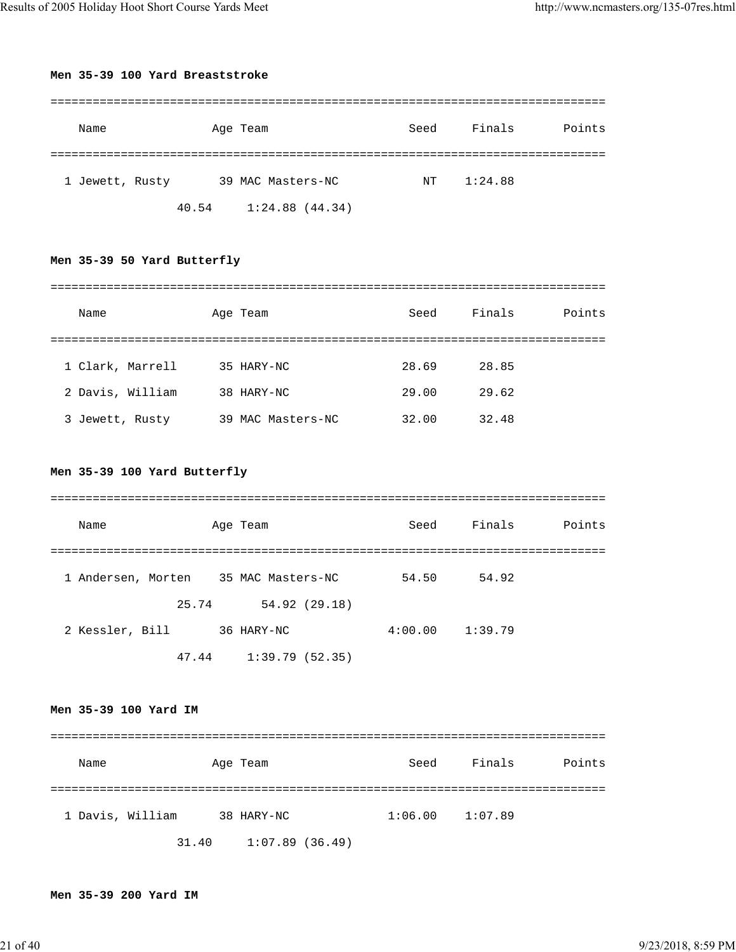#### **Men 35-39 100 Yard Breaststroke**

| Name            | Age Team                | Seed | Finals  | Points |
|-----------------|-------------------------|------|---------|--------|
| 1 Jewett, Rusty | 39 MAC Masters-NC       | NT   | 1:24.88 |        |
|                 | 1:24.88(44.34)<br>40.54 |      |         |        |

# **Men 35-39 50 Yard Butterfly**

| Name             | Age Team          | Seed  | Finals | Points |  |  |
|------------------|-------------------|-------|--------|--------|--|--|
|                  |                   |       |        |        |  |  |
| 1 Clark, Marrell | 35 HARY-NC        | 28.69 | 28.85  |        |  |  |
| 2 Davis, William | 38 HARY-NC        | 29.00 | 29.62  |        |  |  |
| 3 Jewett, Rusty  | 39 MAC Masters-NC | 32.00 | 32.48  |        |  |  |

# **Men 35-39 100 Yard Butterfly**

| Name               | Age Team |                   | Seed    | Finals  | Points |
|--------------------|----------|-------------------|---------|---------|--------|
|                    |          |                   |         |         |        |
| 1 Andersen, Morten |          | 35 MAC Masters-NC | 54.50   | 54.92   |        |
|                    | 25.74    | 54.92 (29.18)     |         |         |        |
| 2 Kessler, Bill    |          | 36 HARY-NC        | 4:00.00 | 1:39.79 |        |
|                    | 47.44    | 1:39.79 (52.35)   |         |         |        |

# **Men 35-39 100 Yard IM**

| Name             |       | Age Team       | Seed | Finals              | Points |
|------------------|-------|----------------|------|---------------------|--------|
|                  |       |                |      |                     |        |
| 1 Davis, William |       | 38 HARY-NC     |      | $1:06.00$ $1:07.89$ |        |
|                  | 31.40 | 1:07.89(36.49) |      |                     |        |

#### **Men 35-39 200 Yard IM**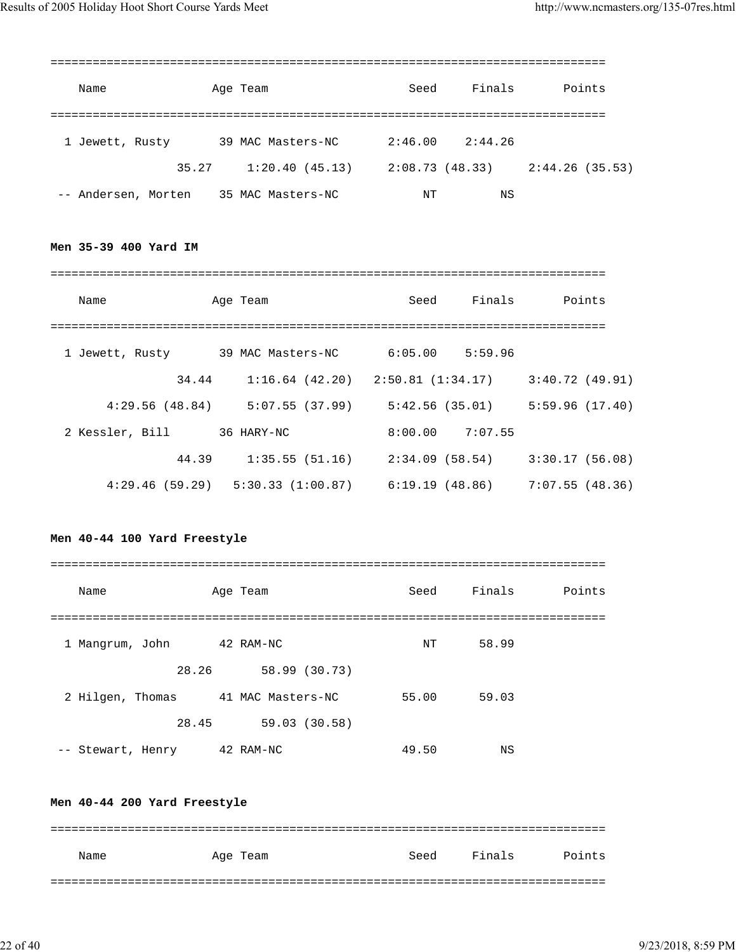| Name                |       | Age Team          | Seed            | Finals  | Points         |
|---------------------|-------|-------------------|-----------------|---------|----------------|
|                     |       |                   |                 |         |                |
| 1 Jewett, Rusty     |       | 39 MAC Masters-NC | 2:46.00         | 2:44.26 |                |
|                     | 35.27 | 1:20.40(45.13)    | 2:08.73 (48.33) |         | 2:44.26(35.53) |
| -- Andersen, Morten |       | 35 MAC Masters-NC | NΤ              | ΝS      |                |

**Men 35-39 400 Yard IM**

| Name            | Age Team                              | Seed<br>Finals                        | Points         |
|-----------------|---------------------------------------|---------------------------------------|----------------|
|                 |                                       |                                       |                |
| 1 Jewett, Rusty | 39 MAC Masters-NC                     | $6:05.00$ $5:59.96$                   |                |
| 34.44           |                                       | $1:16.64$ (42.20) $2:50.81$ (1:34.17) | 3:40.72(49.91) |
| 4:29.56(48.84)  | 5:07.55(37.99)                        | 5:42.56(35.01)                        | 5:59.96(17.40) |
| 2 Kessler, Bill | 36 HARY-NC                            | $8:00.00$ 7:07.55                     |                |
| 44.39           | 1:35.55(51.16)                        | $2:34.09$ (58.54)                     | 3:30.17(56.08) |
|                 | $4:29.46$ (59.29) $5:30.33$ (1:00.87) | 6:19.19 (48.86)                       | 7:07.55(48.36) |

## **Men 40-44 100 Yard Freestyle**

| Name              | Age Team          | Seed  | Finals | Points |
|-------------------|-------------------|-------|--------|--------|
| 1 Mangrum, John   | 42 RAM-NC         | NT    | 58.99  |        |
| 28.26             | 58.99 (30.73)     |       |        |        |
| 2 Hilgen, Thomas  | 41 MAC Masters-NC | 55.00 | 59.03  |        |
| 28.45             | 59.03 (30.58)     |       |        |        |
| -- Stewart, Henry | 42 RAM-NC         | 49.50 | ΝS     |        |

# **Men 40-44 200 Yard Freestyle**

| Name | Age Team | Seed | Finals | Points |
|------|----------|------|--------|--------|
|      |          |      |        |        |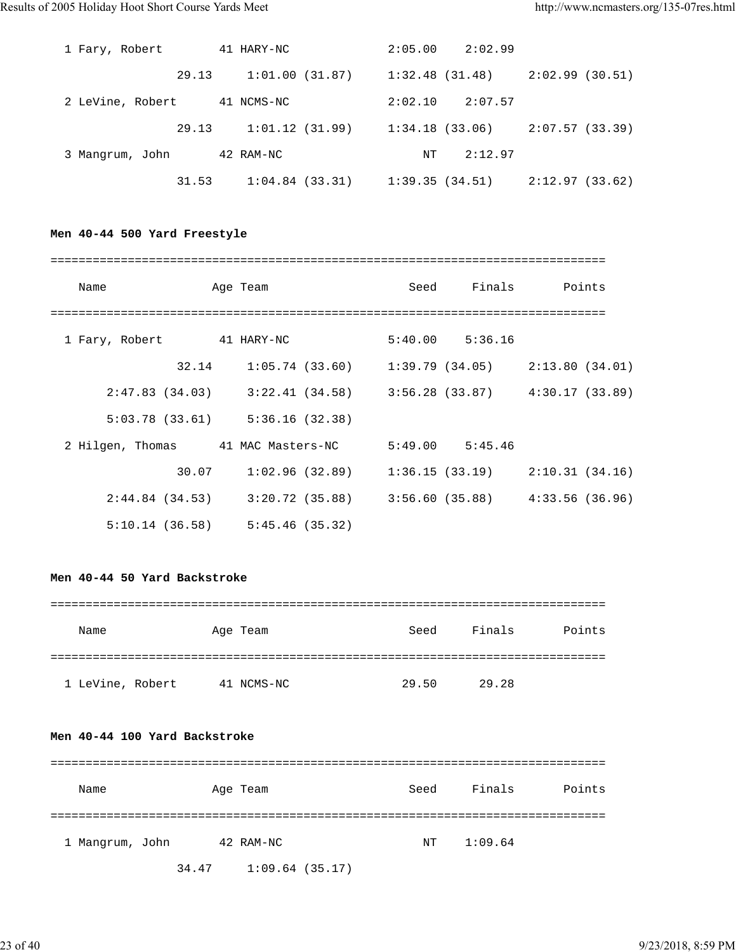| 1 Fary, Robert   | 41 HARY-NC     | $2:05.00$ $2:02.99$               |                |
|------------------|----------------|-----------------------------------|----------------|
| 29.13            | 1:01.00(31.87) | 1:32.48 (31.48)                   | 2:02.99(30.51) |
| 2 LeVine, Robert | 41 NCMS-NC     | 2:02.10<br>2:07.57                |                |
| 29.13            | 1:01.12(31.99) | $1:34.18$ (33.06)                 | 2:07.57(33.39) |
| 3 Mangrum, John  | 42 RAM-NC      | 2:12.97<br>NT                     |                |
| 31.53            | 1:04.84(33.31) | $1:39.35(34.51)$ $2:12.97(33.62)$ |                |

# **Men 40-44 500 Yard Freestyle**

| Name                      | Age Team                                                                |  |                     | Seed Finals Points |  |  |
|---------------------------|-------------------------------------------------------------------------|--|---------------------|--------------------|--|--|
| 1 Fary, Robert 41 HARY-NC |                                                                         |  | $5:40.00$ $5:36.16$ |                    |  |  |
| 32.14                     | $1:05.74$ (33.60) $1:39.79$ (34.05) $2:13.80$ (34.01)                   |  |                     |                    |  |  |
|                           | $2:47.83$ (34.03) $3:22.41$ (34.58) $3:56.28$ (33.87) $4:30.17$ (33.89) |  |                     |                    |  |  |
|                           | $5:03.78$ (33.61) $5:36.16$ (32.38)                                     |  |                     |                    |  |  |
| 2 Hilgen, Thomas          | 41 MAC Masters-NC                                                       |  | $5:49.00$ $5:45.46$ |                    |  |  |
| 30.07                     | $1:02.96$ (32.89) $1:36.15$ (33.19) $2:10.31$ (34.16)                   |  |                     |                    |  |  |
|                           | $2:44.84$ (34.53) $3:20.72$ (35.88) $3:56.60$ (35.88) $4:33.56$ (36.96) |  |                     |                    |  |  |
|                           | $5:10.14$ (36.58) $5:45.46$ (35.32)                                     |  |                     |                    |  |  |

## **Men 40-44 50 Yard Backstroke**

| Name             | Age Team   | Seed  | Finals | Points |
|------------------|------------|-------|--------|--------|
|                  |            |       |        |        |
| 1 LeVine, Robert | 41 NCMS-NC | 29.50 | 29.28  |        |

### **Men 40-44 100 Yard Backstroke**

| Name            |       | Age Team       | Seed | Finals  | Points |
|-----------------|-------|----------------|------|---------|--------|
|                 |       |                |      |         |        |
| 1 Mangrum, John |       | 42 RAM-NC      | NT   | 1:09.64 |        |
|                 | 34.47 | 1:09.64(35.17) |      |         |        |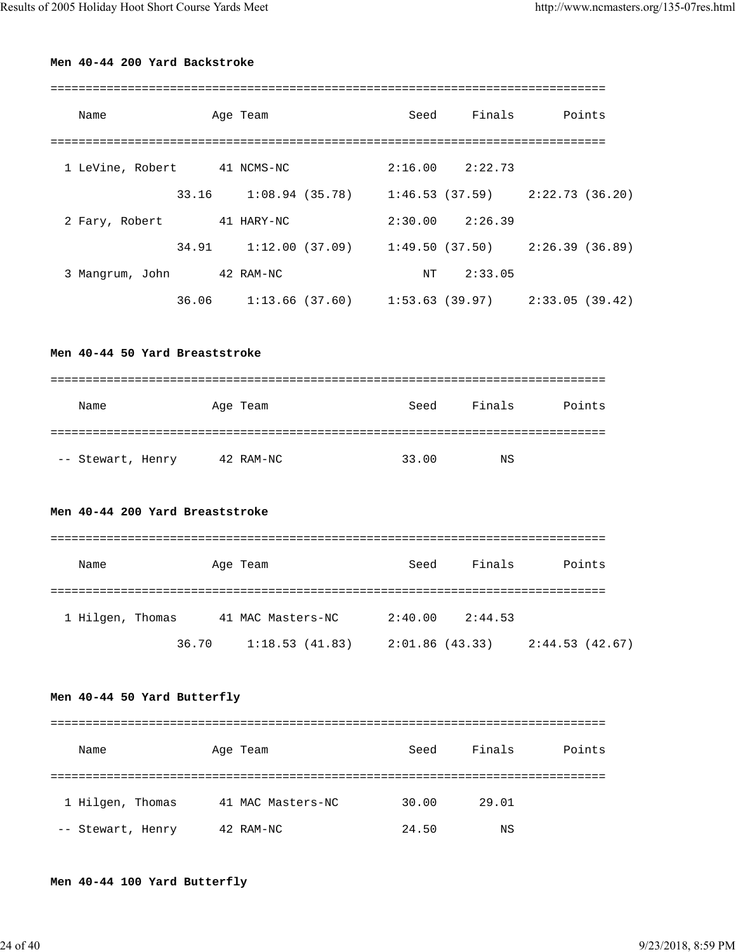# **Men 40-44 200 Yard Backstroke**

| Name                        |            | Age Team          | Seed                                                  | Finals              | Points |  |
|-----------------------------|------------|-------------------|-------------------------------------------------------|---------------------|--------|--|
|                             |            |                   |                                                       |                     |        |  |
| 1 LeVine, Robert 41 NCMS-NC |            |                   |                                                       | $2:16.00$ $2:22.73$ |        |  |
|                             | 33.16      | $1:08.94$ (35.78) | $1:46.53$ (37.59) $2:22.73$ (36.20)                   |                     |        |  |
| 2 Fary, Robert              | 41 HARY-NC |                   |                                                       | $2:30.00$ $2:26.39$ |        |  |
|                             | 34.91      |                   | $1:12.00(37.09)$ $1:49.50(37.50)$ $2:26.39(36.89)$    |                     |        |  |
| 3 Mangrum, John 42 RAM-NC   |            |                   | NT                                                    | 2:33.05             |        |  |
|                             | 36.06      |                   | $1:13.66$ (37.60) $1:53.63$ (39.97) $2:33.05$ (39.42) |                     |        |  |
|                             |            |                   |                                                       |                     |        |  |
|                             |            |                   |                                                       |                     |        |  |

**Men 40-44 50 Yard Breaststroke**

| Name              | Age Team |           | Seed  | Finals | Points |
|-------------------|----------|-----------|-------|--------|--------|
|                   |          |           |       |        |        |
| -- Stewart, Henry |          | 42 RAM-NC | 33.00 | NS     |        |

# **Men 40-44 200 Yard Breaststroke**

| Name             |       | Age Team          | Seed           | Finals  | Points          |
|------------------|-------|-------------------|----------------|---------|-----------------|
| 1 Hilgen, Thomas |       | 41 MAC Masters-NC | 2:40.00        | 2:44.53 |                 |
|                  | 36.70 | 1:18.53(41.83)    | 2:01.86(43.33) |         | 2:44.53 (42.67) |

# **Men 40-44 50 Yard Butterfly**

| Name              | Age Team          | Seed  | Finals | Points |
|-------------------|-------------------|-------|--------|--------|
|                   |                   |       |        |        |
| 1 Hilgen, Thomas  | 41 MAC Masters-NC | 30.00 | 29.01  |        |
| -- Stewart, Henry | 42 RAM-NC         | 24.50 | ΝS     |        |

# **Men 40-44 100 Yard Butterfly**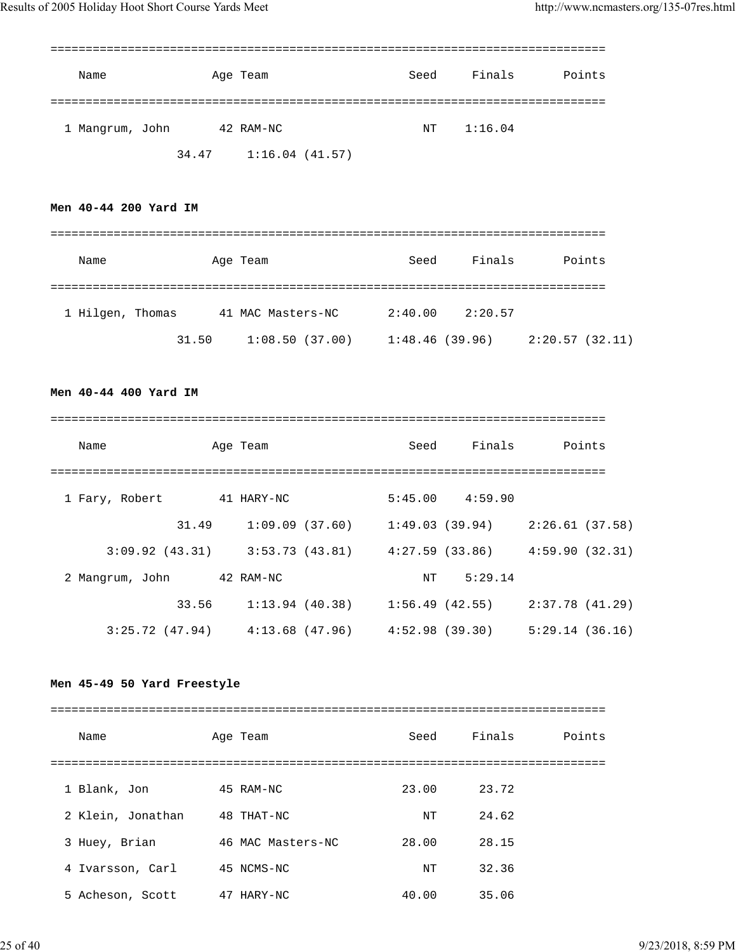| Name            |       | Age Team       | Seed | Finals  | Points |
|-----------------|-------|----------------|------|---------|--------|
|                 |       |                |      |         |        |
| 1 Mangrum, John |       | 42 RAM-NC      | NΤ   | 1:16.04 |        |
|                 | 34.47 | 1:16.04(41.57) |      |         |        |

# **Men 40-44 200 Yard IM**

| Name             |       | Age Team          | Seed           | Finals  | Points         |
|------------------|-------|-------------------|----------------|---------|----------------|
| 1 Hilgen, Thomas |       | 41 MAC Masters-NC | 2:40.00        | 2:20.57 |                |
|                  | 31.50 | 1:08.50(37.00)    | 1:48.46(39.96) |         | 2:20.57(32.11) |

# **Men 40-44 400 Yard IM**

| Name            |                | Age Team          |                   | Seed                                                  | Finals              |                 | Points |
|-----------------|----------------|-------------------|-------------------|-------------------------------------------------------|---------------------|-----------------|--------|
| 1 Fary, Robert  |                | 41 HARY-NC        |                   |                                                       | $5:45.00$ $4:59.90$ |                 |        |
|                 | 31.49          |                   | $1:09.09$ (37.60) |                                                       | 1:49.03 (39.94)     | 2:26.61(37.58)  |        |
|                 | 3:09.92(43.31) |                   |                   | $3:53.73$ (43.81) $4:27.59$ (33.86) $4:59.90$ (32.31) |                     |                 |        |
| 2 Mangrum, John |                | 42 RAM-NC         |                   | NΤ                                                    | 5:29.14             |                 |        |
|                 | 33.56          | $1:13.94$ (40.38) |                   |                                                       | 1:56.49 (42.55)     | 2:37.78 (41.29) |        |
|                 | 3:25.72(47.94) | $4:13.68$ (47.96) |                   | 4:52.98(39.30)                                        |                     | 5:29.14(36.16)  |        |

# **Men 45-49 50 Yard Freestyle**

| Name              | Age Team          | Seed  | Finals | Points |
|-------------------|-------------------|-------|--------|--------|
|                   |                   |       |        |        |
| 1 Blank, Jon      | 45 RAM-NC         | 23.00 | 23.72  |        |
| 2 Klein, Jonathan | 48 THAT-NC        | NΤ    | 24.62  |        |
| 3 Huey, Brian     | 46 MAC Masters-NC | 28.00 | 28.15  |        |
| 4 Ivarsson, Carl  | 45 NCMS-NC        | NT    | 32.36  |        |
| 5 Acheson, Scott  | 47 HARY-NC        | 40.00 | 35.06  |        |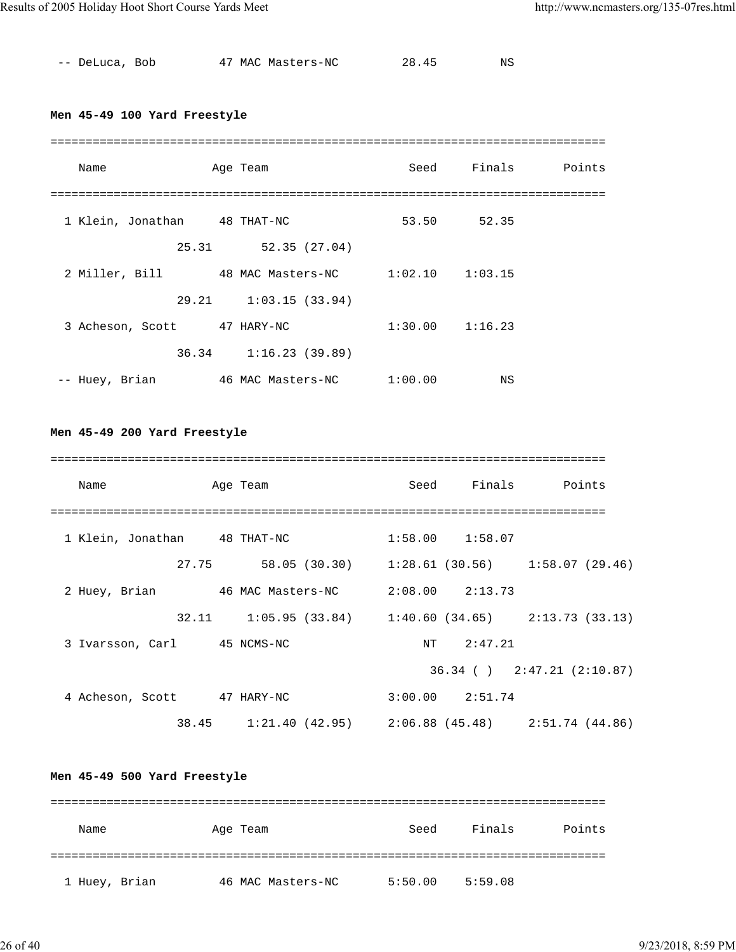| -- DeLuca, Bob | 47 MAC Masters-NC | 28.45 | NS |
|----------------|-------------------|-------|----|
|                |                   |       |    |

# **Men 45-49 100 Yard Freestyle**

| Name                             |       | Age Team                | Seed                | Finals      | Points |
|----------------------------------|-------|-------------------------|---------------------|-------------|--------|
| 1 Klein, Jonathan 48 THAT-NC     |       |                         |                     | 53.50 52.35 |        |
|                                  | 25.31 | 52.35(27.04)            |                     |             |        |
| 2 Miller, Bill 48 MAC Masters-NC |       |                         | $1:02.10$ $1:03.15$ |             |        |
|                                  |       | 29.21 1:03.15 (33.94)   |                     |             |        |
| 3 Acheson, Scott                 |       | 47 HARY-NC              | $1:30.00$ $1:16.23$ |             |        |
|                                  |       | $36.34$ 1:16.23 (39.89) |                     |             |        |
| -- Huey, Brian                   |       | 46 MAC Masters-NC       | 1:00.00             | ΝS          |        |

# **Men 45-49 200 Yard Freestyle**

| Name                                            | Age Team                                              |                     | Seed Finals Points              |
|-------------------------------------------------|-------------------------------------------------------|---------------------|---------------------------------|
|                                                 |                                                       |                     |                                 |
| 1 Klein, Jonathan 48 THAT-NC                    |                                                       | $1:58.00$ $1:58.07$ |                                 |
|                                                 | 27.75 58.05 (30.30) 1:28.61 (30.56) 1:58.07 (29.46)   |                     |                                 |
| 2 Huey, Brian 46 MAC Masters-NC 2:08.00 2:13.73 |                                                       |                     |                                 |
|                                                 | 32.11 1:05.95 (33.84) 1:40.60 (34.65) 2:13.73 (33.13) |                     |                                 |
| 3 Ivarsson, Carl 45 NCMS-NC                     |                                                       | NT 2:47.21          |                                 |
|                                                 |                                                       |                     | $36.34$ ( ) $2:47.21$ (2:10.87) |
| 4 Acheson, Scott 47 HARY-NC                     |                                                       | $3:00.00$ $2:51.74$ |                                 |
|                                                 | 38.45 1:21.40 (42.95) 2:06.88 (45.48) 2:51.74 (44.86) |                     |                                 |

# **Men 45-49 500 Yard Freestyle**

| Name          | Age Team          | Seed    | Finals  | Points |
|---------------|-------------------|---------|---------|--------|
|               |                   |         |         |        |
| 1 Huey, Brian | 46 MAC Masters-NC | 5:50.00 | 5:59.08 |        |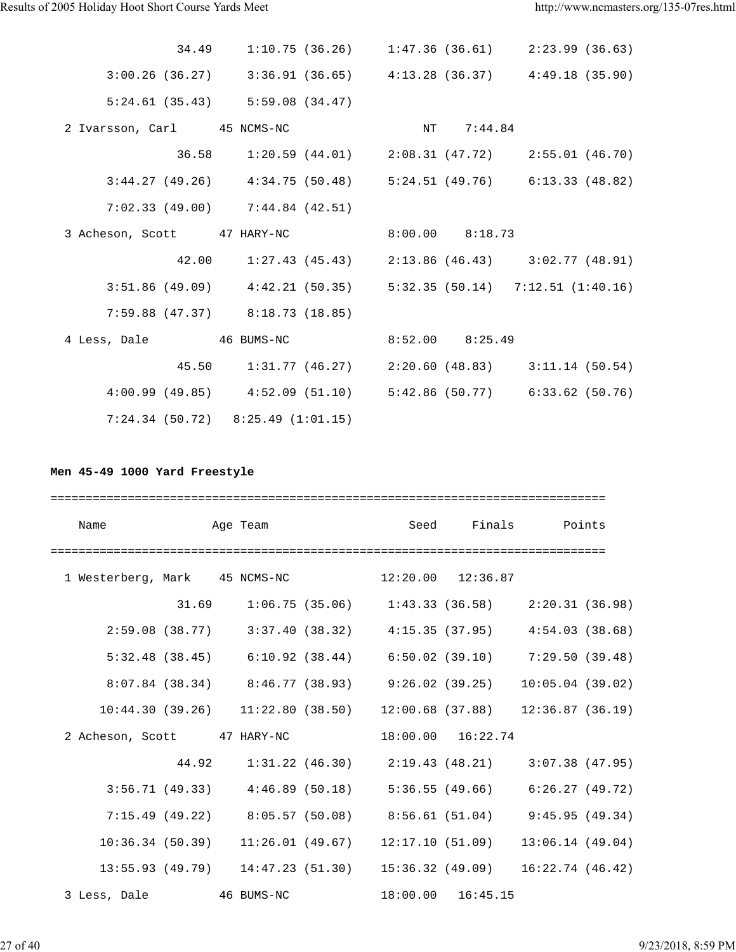|                             | 34.49 1:10.75 (36.26) 1:47.36 (36.61) 2:23.99 (36.63)                     |                     |  |
|-----------------------------|---------------------------------------------------------------------------|---------------------|--|
|                             | $3:00.26$ (36.27) $3:36.91$ (36.65) $4:13.28$ (36.37) $4:49.18$ (35.90)   |                     |  |
|                             | $5:24.61$ (35.43) $5:59.08$ (34.47)                                       |                     |  |
| 2 Ivarsson, Carl 45 NCMS-NC |                                                                           | NT 7:44.84          |  |
|                             | 36.58 1:20.59 (44.01) 2:08.31 (47.72) 2:55.01 (46.70)                     |                     |  |
|                             | $3:44.27$ (49.26) $4:34.75$ (50.48) $5:24.51$ (49.76) $6:13.33$ (48.82)   |                     |  |
|                             | $7:02.33$ (49.00) $7:44.84$ (42.51)                                       |                     |  |
|                             | 3 Acheson, Scott 47 HARY-NC                                               | $8:00.00$ $8:18.73$ |  |
|                             | 42.00 1:27.43 (45.43) 2:13.86 (46.43) 3:02.77 (48.91)                     |                     |  |
|                             | $3:51.86$ (49.09) $4:42.21$ (50.35) $5:32.35$ (50.14) $7:12.51$ (1:40.16) |                     |  |
|                             | $7:59.88$ (47.37) $8:18.73$ (18.85)                                       |                     |  |
|                             | 4 Less, Dale 46 BUMS-NC                                                   | $8:52.00$ $8:25.49$ |  |
|                             | 45.50 1:31.77 (46.27) 2:20.60 (48.83) 3:11.14 (50.54)                     |                     |  |
|                             | 4:00.99 (49.85) 4:52.09 (51.10) 5:42.86 (50.77) 6:33.62 (50.76)           |                     |  |
|                             | $7:24.34$ (50.72) $8:25.49$ (1:01.15)                                     |                     |  |

# **Men 45-49 1000 Yard Freestyle**

| Name                          | <b>Example 2</b> Age Team |  | Seed Finals Points                                                          |                                     |  |
|-------------------------------|---------------------------|--|-----------------------------------------------------------------------------|-------------------------------------|--|
|                               |                           |  |                                                                             | =================================== |  |
| 1 Westerberg, Mark 45 NCMS-NC |                           |  |                                                                             | $12:20.00$ $12:36.87$               |  |
|                               |                           |  | $31.69$ $1:06.75$ (35.06) $1:43.33$ (36.58) $2:20.31$ (36.98)               |                                     |  |
|                               |                           |  | 2:59.08 (38.77) 3:37.40 (38.32) 4:15.35 (37.95) 4:54.03 (38.68)             |                                     |  |
|                               |                           |  | 5:32.48 (38.45) 6:10.92 (38.44) 6:50.02 (39.10) 7:29.50 (39.48)             |                                     |  |
|                               |                           |  | 8:07.84 (38.34) 8:46.77 (38.93) 9:26.02 (39.25) 10:05.04 (39.02)            |                                     |  |
|                               |                           |  | $10:44.30(39.26)$ $11:22.80(38.50)$ $12:00.68(37.88)$ $12:36.87(36.19)$     |                                     |  |
|                               |                           |  | 2 Acheson, Scott 47 HARY-NC 18:00.00 16:22.74                               |                                     |  |
|                               |                           |  | 44.92 1:31.22 (46.30) 2:19.43 (48.21) 3:07.38 (47.95)                       |                                     |  |
|                               |                           |  | $3:56.71$ (49.33) $4:46.89$ (50.18) $5:36.55$ (49.66) $6:26.27$ (49.72)     |                                     |  |
|                               |                           |  | 7:15.49 (49.22) 8:05.57 (50.08) 8:56.61 (51.04) 9:45.95 (49.34)             |                                     |  |
|                               |                           |  | $10:36.34$ (50.39) $11:26.01$ (49.67) $12:17.10$ (51.09) $13:06.14$ (49.04) |                                     |  |
|                               |                           |  | 13:55.93 (49.79) 14:47.23 (51.30) 15:36.32 (49.09) 16:22.74 (46.42)         |                                     |  |
| 3 Less, Dale 46 BUMS-NC       |                           |  | $18:00.00$ $16:45.15$                                                       |                                     |  |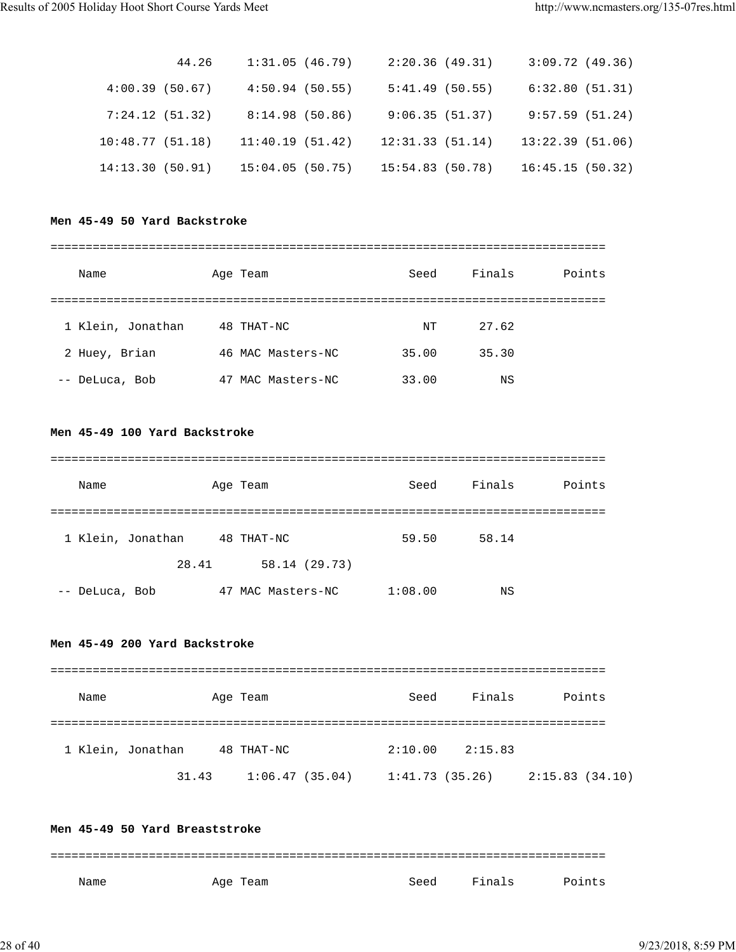| 44.26           | 1:31.05(46.79)  | 2:20.36(49.31)   |                 | 3:09.72(49.36) |
|-----------------|-----------------|------------------|-----------------|----------------|
| 4:00.39(50.67)  | 4:50.94(50.55)  | 5:41.49(50.55)   | 6:32.80(51.31)  |                |
| 7:24.12(51.32)  | 8:14.98(50.86)  | 9:06.35(51.37)   | 9:57.59(51.24)  |                |
| 10:48.77(51.18) | 11:40.19(51.42) | 12:31.33(51.14)  | 13:22.39(51.06) |                |
| 14:13.30(50.91) | 15:04.05(50.75) | 15:54.83 (50.78) | 16:45.15(50.32) |                |

# **Men 45-49 50 Yard Backstroke**

| Name              | Age Team          | Seed  | Finals | Points |
|-------------------|-------------------|-------|--------|--------|
|                   |                   |       |        |        |
| 1 Klein, Jonathan | 48 THAT-NC        | NT    | 27.62  |        |
| 2 Huey, Brian     | 46 MAC Masters-NC | 35.00 | 35.30  |        |
| -- DeLuca, Bob    | 47 MAC Masters-NC | 33.00 | ΝS     |        |

# **Men 45-49 100 Yard Backstroke**

| Name              | Age Team          | Seed    | Finals | Points |
|-------------------|-------------------|---------|--------|--------|
|                   |                   |         |        |        |
| 1 Klein, Jonathan | 48 THAT-NC        | 59.50   | 58.14  |        |
| 28.41             | 58.14 (29.73)     |         |        |        |
| -- DeLuca, Bob    | 47 MAC Masters-NC | 1:08.00 | ΝS     |        |

#### **Men 45-49 200 Yard Backstroke**

| Name              | Age Team |                | Seed    | Finals          | Points         |
|-------------------|----------|----------------|---------|-----------------|----------------|
|                   |          |                |         |                 |                |
| 1 Klein, Jonathan |          | 48 THAT-NC     | 2:10.00 | 2:15.83         |                |
|                   | 31.43    | 1:06.47(35.04) |         | 1:41.73 (35.26) | 2:15.83(34.10) |

# **Men 45-49 50 Yard Breaststroke** =============================================================================== Name Month Age Team Seed Finals Points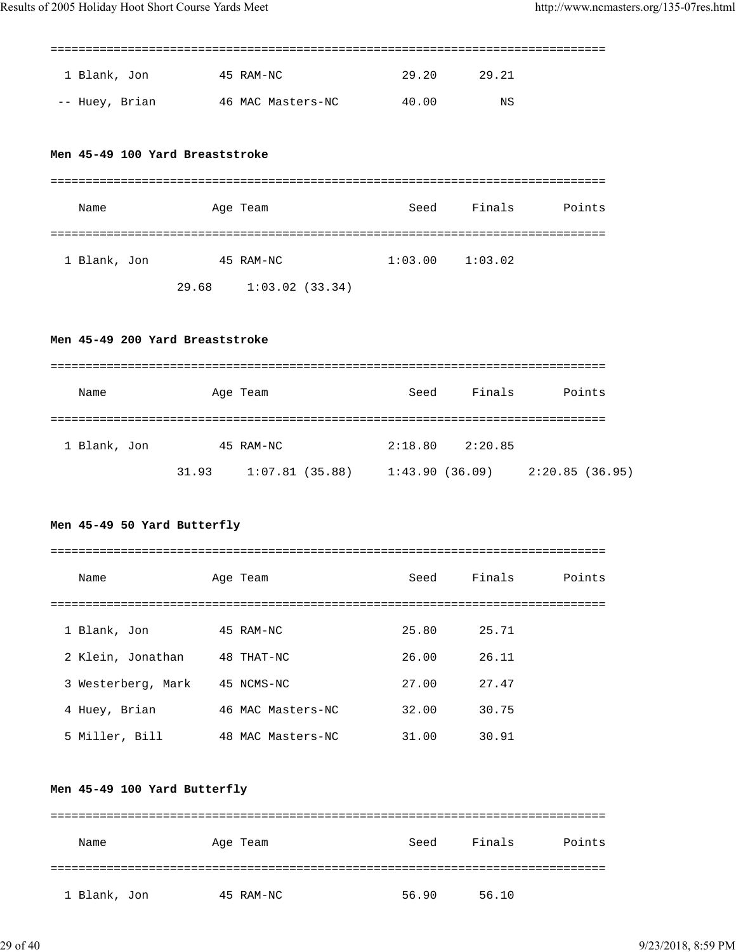===============================================================================

| 1 Blank, Jon   | 45 RAM-NC         | 29.20 | 29.21 |
|----------------|-------------------|-------|-------|
| -- Huey, Brian | 46 MAC Masters-NC | 40.00 | ΝS    |

#### **Men 45-49 100 Yard Breaststroke**

| Name         |       | Age Team       | Seed    | Finals  | Points |
|--------------|-------|----------------|---------|---------|--------|
|              |       |                |         |         |        |
| 1 Blank, Jon |       | 45 RAM-NC      | 1:03.00 | 1:03.02 |        |
|              | 29.68 | 1:03.02(33.34) |         |         |        |

#### **Men 45-49 200 Yard Breaststroke**

| Name         |       | Age Team       | Seed           | Finals  | Points         |
|--------------|-------|----------------|----------------|---------|----------------|
|              |       |                |                |         |                |
| 1 Blank, Jon |       | 45 RAM-NC      | 2:18.80        | 2:20.85 |                |
|              | 31.93 | 1:07.81(35.88) | 1:43.90(36.09) |         | 2:20.85(36.95) |

# **Men 45-49 50 Yard Butterfly**

| Name               | Age Team          | Seed  | Finals | Points |
|--------------------|-------------------|-------|--------|--------|
|                    |                   |       |        |        |
| 1 Blank, Jon       | 45 RAM-NC         | 25.80 | 25.71  |        |
| 2 Klein, Jonathan  | 48 THAT-NC        | 26.00 | 26.11  |        |
| 3 Westerberg, Mark | 45 NCMS-NC        | 27.00 | 27.47  |        |
| 4 Huey, Brian      | 46 MAC Masters-NC | 32.00 | 30.75  |        |
| 5 Miller, Bill     | 48 MAC Masters-NC | 31.00 | 30.91  |        |

### **Men 45-49 100 Yard Butterfly**

| Name         | Age Team  | Seed  | Finals | Points |
|--------------|-----------|-------|--------|--------|
|              |           |       |        |        |
| 1 Blank, Jon | 45 RAM-NC | 56.90 | 56.10  |        |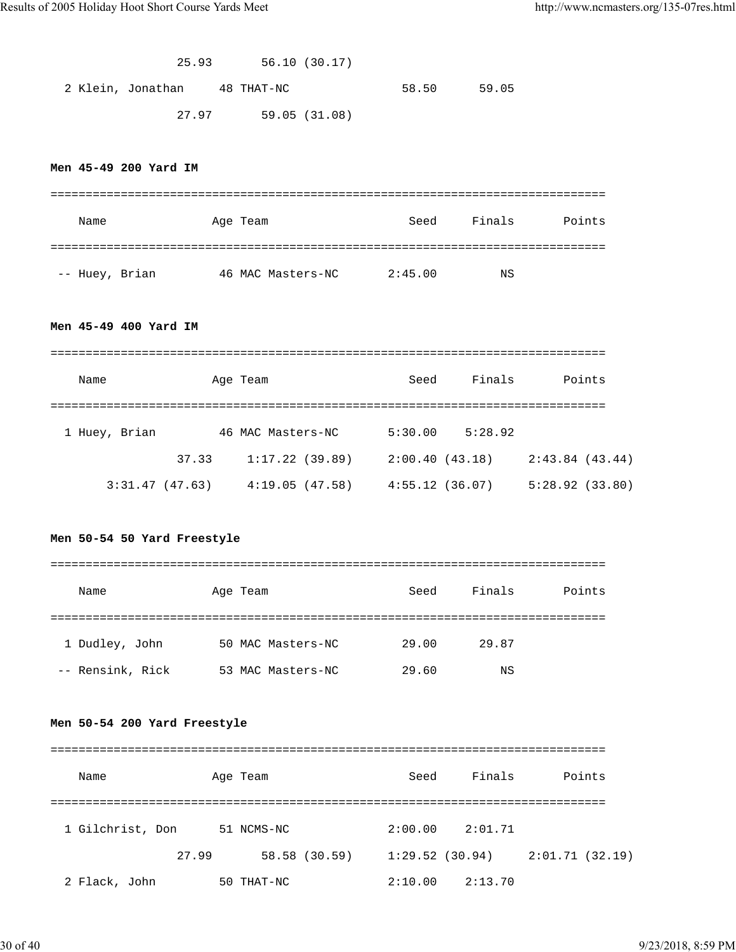| 25.93 | 56.10(30.17) |
|-------|--------------|
|-------|--------------|

2 Klein, Jonathan 48 THAT-NC 58.50 59.05 27.97 59.05 (31.08)

# **Men 45-49 200 Yard IM**

| Name           | Age Team          | Seed    | Finals | Points |
|----------------|-------------------|---------|--------|--------|
|                |                   |         |        |        |
| -- Huey, Brian | 46 MAC Masters-NC | 2:45.00 | NS     |        |

### **Men 45-49 400 Yard IM**

| Name           |       | Age Team          | Seed           | Finals  | Points         |  |
|----------------|-------|-------------------|----------------|---------|----------------|--|
| 1 Huey, Brian  |       | 46 MAC Masters-NC | 5:30.00        | 5:28.92 |                |  |
|                | 37.33 | 1:17.22(39.89)    | 2:00.40(43.18) |         | 2:43.84(43.44) |  |
| 3:31.47(47.63) |       | 4:19.05(47.58)    | 4:55.12(36.07) |         | 5:28.92(33.80) |  |

## **Men 50-54 50 Yard Freestyle**

# ===============================================================================

| Name             | Age Team          | Seed  | Finals | Points |
|------------------|-------------------|-------|--------|--------|
|                  |                   |       |        |        |
| 1 Dudley, John   | 50 MAC Masters-NC | 29.00 | 29.87  |        |
| -- Rensink, Rick | 53 MAC Masters-NC | 29.60 | ΝS     |        |

# **Men 50-54 200 Yard Freestyle**

| Name             | Age Team   |               | Seed           | Finals  | Points         |
|------------------|------------|---------------|----------------|---------|----------------|
|                  |            |               |                |         |                |
| 1 Gilchrist, Don | 51 NCMS-NC |               | 2:00.00        | 2:01.71 |                |
| 27.99            |            | 58.58 (30.59) | 1:29.52(30.94) |         | 2:01.71(32.19) |
| 2 Flack, John    | 50 THAT-NC |               | 2:10.00        | 2:13.70 |                |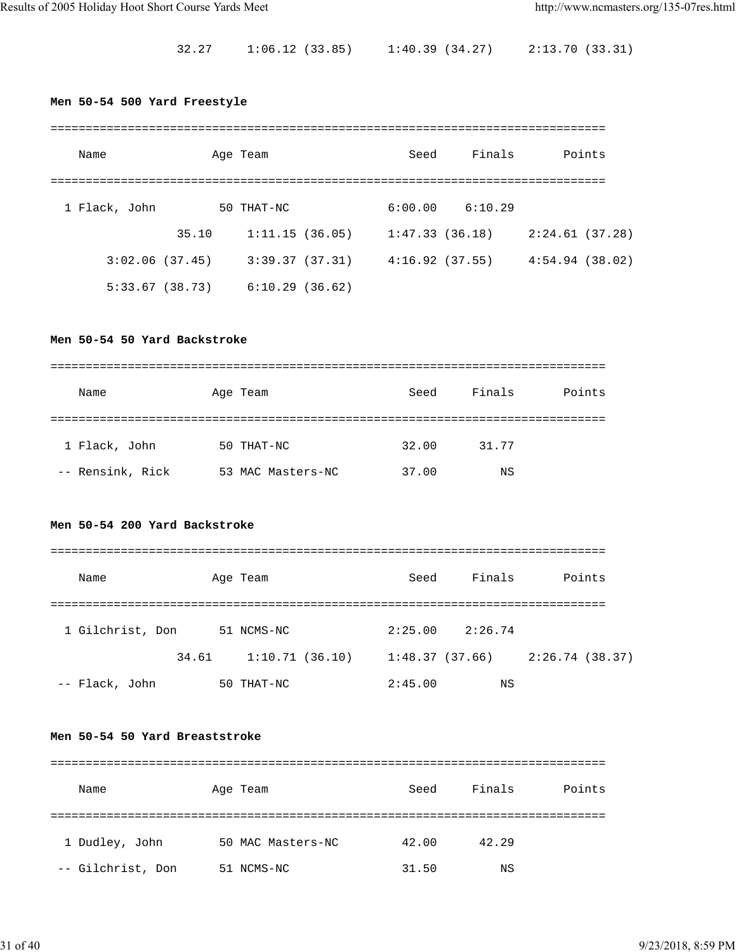32.27 1:06.12 (33.85) 1:40.39 (34.27) 2:13.70 (33.31)

# **Men 50-54 500 Yard Freestyle**

| Name           |       | Age Team       | Seed           | Finals         |                | Points |
|----------------|-------|----------------|----------------|----------------|----------------|--------|
|                |       |                |                |                |                |        |
| 1 Flack, John  |       | 50 THAT-NC     | 6:00.00        | 6:10.29        |                |        |
|                | 35.10 | 1:11.15(36.05) | 1:47.33(36.18) |                | 2:24.61(37.28) |        |
| 3:02.06(37.45) |       | 3:39.37(37.31) |                | 4:16.92(37.55) | 4:54.94(38.02) |        |
| 5:33.67(38.73) |       | 6:10.29(36.62) |                |                |                |        |

# **Men 50-54 50 Yard Backstroke**

| Name             | Age Team          | Seed  | Finals | Points |
|------------------|-------------------|-------|--------|--------|
|                  |                   |       |        |        |
| 1 Flack, John    | 50 THAT-NC        | 32.00 | 31.77  |        |
| -- Rensink, Rick | 53 MAC Masters-NC | 37.00 | ΝS     |        |

# **Men 50-54 200 Yard Backstroke**

| Name             | Age Team |                | Seed           | Finals  | Points         |
|------------------|----------|----------------|----------------|---------|----------------|
|                  |          |                |                |         |                |
| 1 Gilchrist, Don |          | 51 NCMS-NC     | 2:25.00        | 2:26.74 |                |
|                  | 34.61    | 1:10.71(36.10) | 1:48.37(37.66) |         | 2:26.74(38.37) |
| -- Flack, John   |          | 50 THAT-NC     | 2:45.00        | ΝS      |                |

### **Men 50-54 50 Yard Breaststroke**

| Name              | Age Team          | Seed  | Finals | Points |
|-------------------|-------------------|-------|--------|--------|
|                   |                   |       |        |        |
| 1 Dudley, John    | 50 MAC Masters-NC | 42.00 | 42.29  |        |
| -- Gilchrist, Don | 51 NCMS-NC        | 31.50 | ΝS     |        |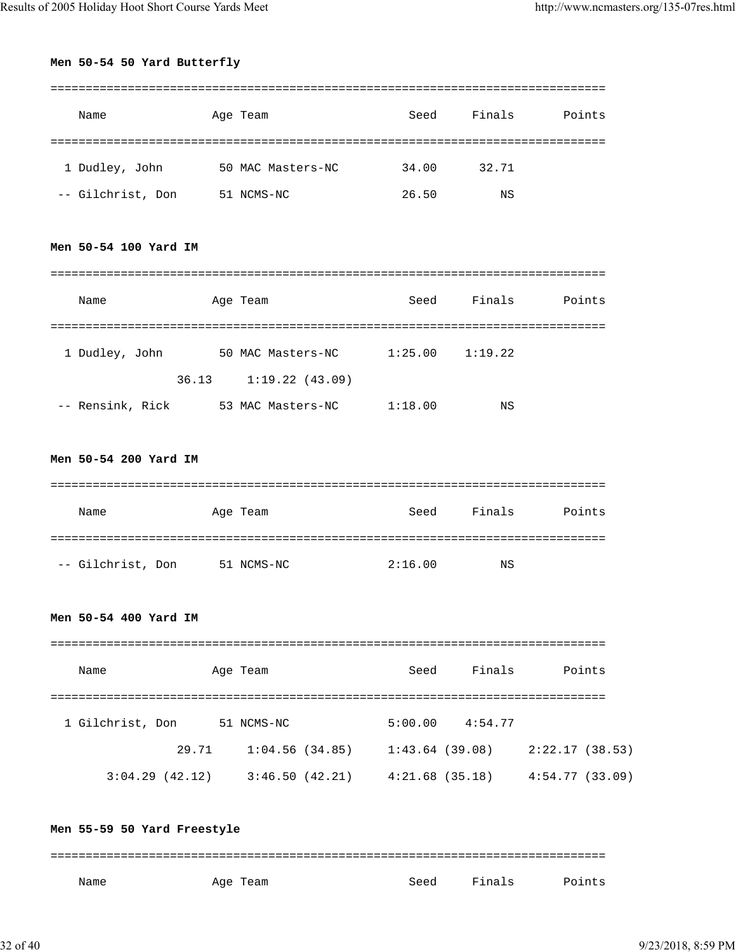# **Men 50-54 50 Yard Butterfly**

| Name              | Age Team          | Seed  | Finals | Points |
|-------------------|-------------------|-------|--------|--------|
|                   |                   |       |        |        |
| 1 Dudley, John    | 50 MAC Masters-NC | 34.00 | 32.71  |        |
| -- Gilchrist, Don | 51 NCMS-NC        | 26.50 | ΝS     |        |

## **Men 50-54 100 Yard IM**

| Name             |       | Age Team          | Seed    | Finals  | Points |
|------------------|-------|-------------------|---------|---------|--------|
|                  |       |                   |         |         |        |
| 1 Dudley, John   |       | 50 MAC Masters-NC | 1:25.00 | 1:19.22 |        |
|                  | 36.13 | 1:19.22(43.09)    |         |         |        |
| -- Rensink, Rick |       | 53 MAC Masters-NC | 1:18.00 | ΝS      |        |

# **Men 50-54 200 Yard IM**

| Name              | Age Team   | Seed    | Finals | Points |
|-------------------|------------|---------|--------|--------|
|                   |            |         |        |        |
| -- Gilchrist, Don | 51 NCMS-NC | 2:16.00 | ΝS     |        |

### **Men 50-54 400 Yard IM**

| Name             |       | Age Team       | Seed           | Finals  | Points         |
|------------------|-------|----------------|----------------|---------|----------------|
|                  |       |                |                |         |                |
| 1 Gilchrist, Don |       | 51 NCMS-NC     | 5:00.00        | 4:54.77 |                |
|                  | 29.71 | 1:04.56(34.85) | 1:43.64(39.08) |         | 2:22.17(38.53) |
| 3:04.29(42.12)   |       | 3:46.50(42.21) | 4:21.68(35.18) |         | 4:54.77(33.09) |

**Men 55-59 50 Yard Freestyle** =============================================================================== Name Month Age Team Seed Finals Points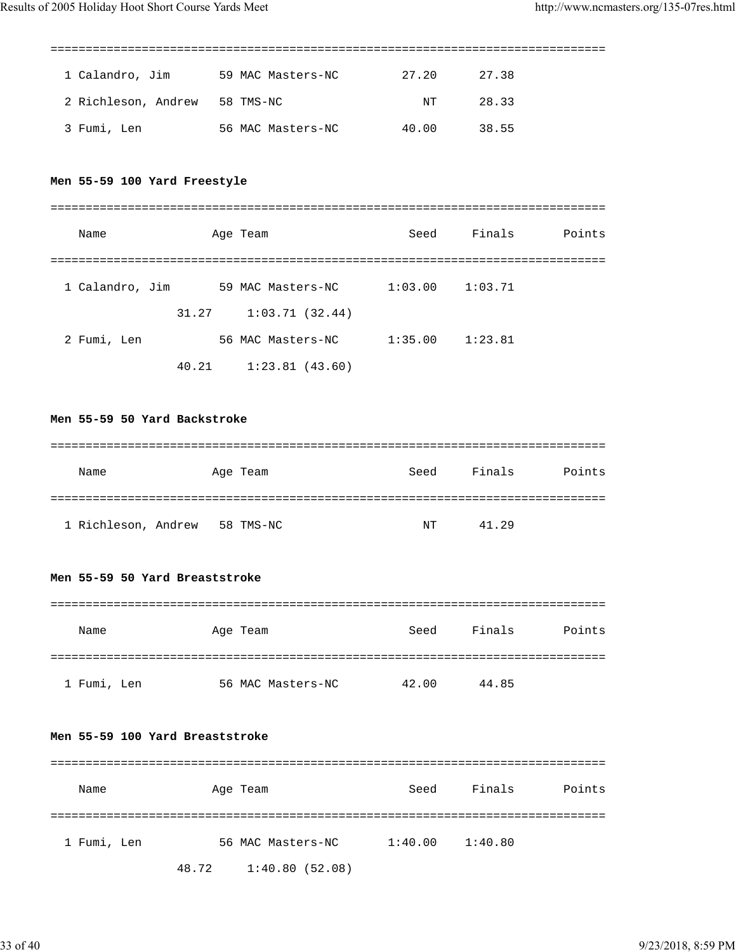| 1 Calandro, Jim     | 59 MAC Masters-NC | 27.20 | 27.38 |  |
|---------------------|-------------------|-------|-------|--|
| 2 Richleson, Andrew | 58 TMS-NC         | NT    | 28.33 |  |
| 3 Fumi, Len         | 56 MAC Masters-NC | 40.00 | 38.55 |  |

# **Men 55-59 100 Yard Freestyle**

| Name            |       | Age Team          | Seed    | Finals  | Points |
|-----------------|-------|-------------------|---------|---------|--------|
|                 |       |                   |         |         |        |
| 1 Calandro, Jim |       | 59 MAC Masters-NC | 1:03.00 | 1:03.71 |        |
|                 | 31.27 | 1:03.71(32.44)    |         |         |        |
| 2 Fumi, Len     |       | 56 MAC Masters-NC | 1:35.00 | 1:23.81 |        |
|                 | 40.21 | 1:23.81(43.60)    |         |         |        |

**Men 55-59 50 Yard Backstroke**

| Name                | Age Team  | Seed | Finals | Points |
|---------------------|-----------|------|--------|--------|
|                     |           |      |        |        |
| 1 Richleson, Andrew | 58 TMS-NC | NT   | 41.29  |        |

# **Men 55-59 50 Yard Breaststroke**

| Name        | Age Team          | Seed  | Finals | Points |
|-------------|-------------------|-------|--------|--------|
|             |                   |       |        |        |
| 1 Fumi, Len | 56 MAC Masters-NC | 42.00 | 44.85  |        |

#### **Men 55-59 100 Yard Breaststroke**

| Name        | Age Team                | Seed    | Finals  | Points |
|-------------|-------------------------|---------|---------|--------|
|             |                         |         |         |        |
| 1 Fumi, Len | 56 MAC Masters-NC       | 1:40.00 | 1:40.80 |        |
|             | 1:40.80(52.08)<br>48.72 |         |         |        |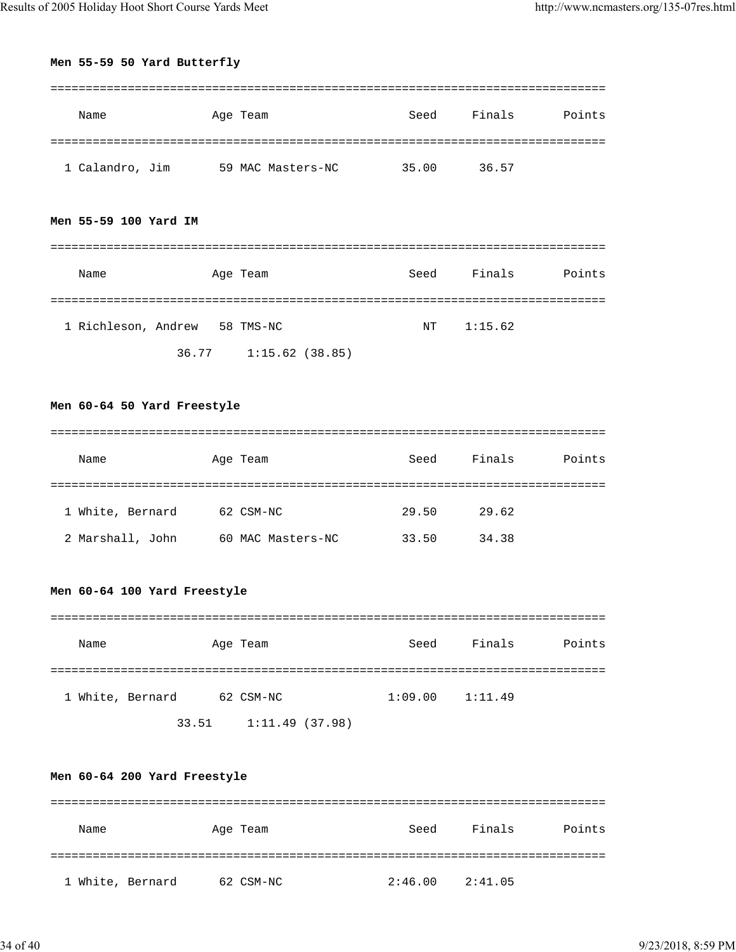# **Men 55-59 50 Yard Butterfly**

| Name            | Age Team |                   | Seed  | Finals | Points |
|-----------------|----------|-------------------|-------|--------|--------|
|                 |          |                   |       |        |        |
| 1 Calandro, Jim |          | 59 MAC Masters-NC | 35.00 | 36.57  |        |

# **Men 55-59 100 Yard IM**

| Name                |       | Age Team       | Seed | Finals  | Points |
|---------------------|-------|----------------|------|---------|--------|
|                     |       |                |      |         |        |
| 1 Richleson, Andrew |       | 58 TMS-NC      | NT   | 1:15.62 |        |
|                     | 36.77 | 1:15.62(38.85) |      |         |        |

# **Men 60-64 50 Yard Freestyle**

| Name             | Age Team          | Seed  | Finals | Points |
|------------------|-------------------|-------|--------|--------|
|                  |                   |       |        |        |
| 1 White, Bernard | 62 CSM-NC         | 29.50 | 29.62  |        |
| 2 Marshall, John | 60 MAC Masters-NC | 33.50 | 34.38  |        |

# **Men 60-64 100 Yard Freestyle**

| Name             | Age Team  | Seed    | Finals  | Points |
|------------------|-----------|---------|---------|--------|
|                  |           |         |         |        |
| 1 White, Bernard | 62 CSM-NC | 1:09.00 | 1:11.49 |        |

33.51 1:11.49 (37.98)

# **Men 60-64 200 Yard Freestyle**

| Name             | Age Team  | Seed    | Finals  | Points |
|------------------|-----------|---------|---------|--------|
|                  |           |         |         |        |
| 1 White, Bernard | 62 CSM-NC | 2:46.00 | 2:41.05 |        |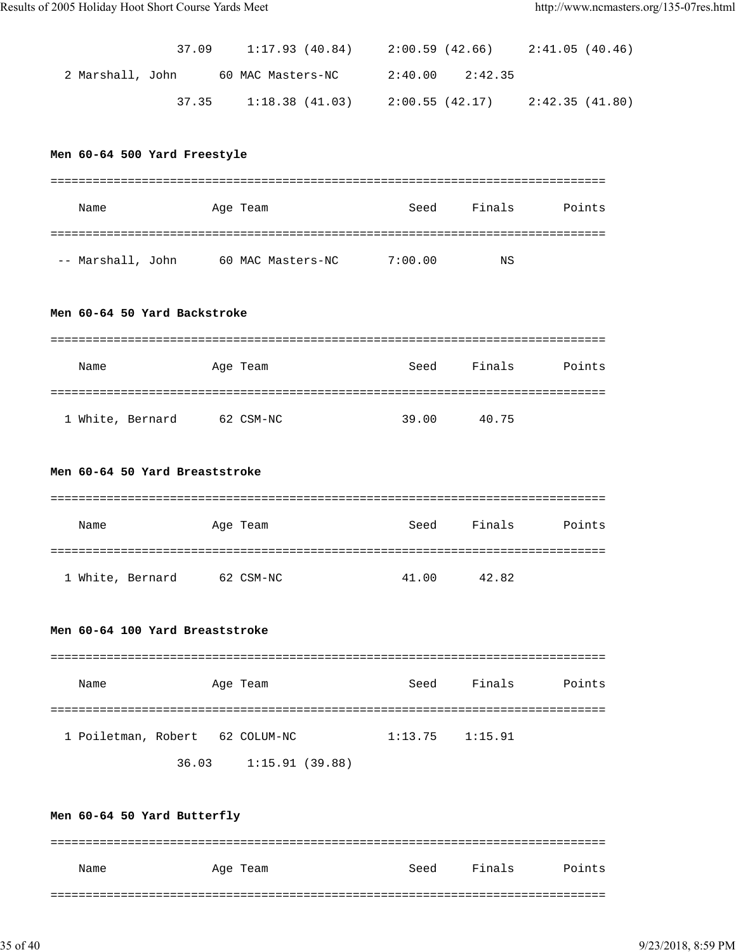|                  | 37.09 | 1:17.93 (40.84)   | 2:00.59 (42.66)     | 2:41.05 (40.46) |  |
|------------------|-------|-------------------|---------------------|-----------------|--|
| 2 Marshall, John |       | 60 MAC Masters-NC | $2:40.00$ $2:42.35$ |                 |  |
|                  | 37.35 | 1:18.38(41.03)    | 2:00.55 (42.17)     | 2:42.35 (41.80) |  |

# **Men 60-64 500 Yard Freestyle**

| Name              | Age Team          | Seed    | Finals | Points |
|-------------------|-------------------|---------|--------|--------|
|                   |                   |         |        |        |
| -- Marshall, John | 60 MAC Masters-NC | 7:00.00 | ΝS     |        |

#### **Men 60-64 50 Yard Backstroke**

| Name             | Age Team  | Seed  | Finals<br>Points |
|------------------|-----------|-------|------------------|
|                  |           |       |                  |
| 1 White, Bernard | 62 CSM-NC | 39.00 | 40.75            |

#### **Men 60-64 50 Yard Breaststroke**

| Name             | Age Team  | Seed  | Points<br>Finals |
|------------------|-----------|-------|------------------|
|                  |           |       |                  |
| 1 White, Bernard | 62 CSM-NC | 41.00 | 42.82            |

### **Men 60-64 100 Yard Breaststroke**

| Name                            |       | Age Team       | Seed                | Finals | Points |
|---------------------------------|-------|----------------|---------------------|--------|--------|
| 1 Poiletman, Robert 62 COLUM-NC |       |                | $1:13.75$ $1:15.91$ |        |        |
|                                 | 36.03 | 1:15.91(39.88) |                     |        |        |

|      |  | Men 60-64 50 Yard Butterfly |          |      |        |        |
|------|--|-----------------------------|----------|------|--------|--------|
|      |  |                             |          |      |        |        |
|      |  |                             |          |      |        |        |
|      |  |                             |          |      |        |        |
|      |  |                             |          |      |        |        |
|      |  |                             |          |      |        |        |
|      |  |                             |          |      |        |        |
|      |  |                             |          |      |        |        |
| Name |  |                             | Age Team | Seed | Finals | Points |
|      |  |                             |          |      |        |        |
|      |  |                             |          |      |        |        |
|      |  |                             |          |      |        |        |
|      |  |                             |          |      |        |        |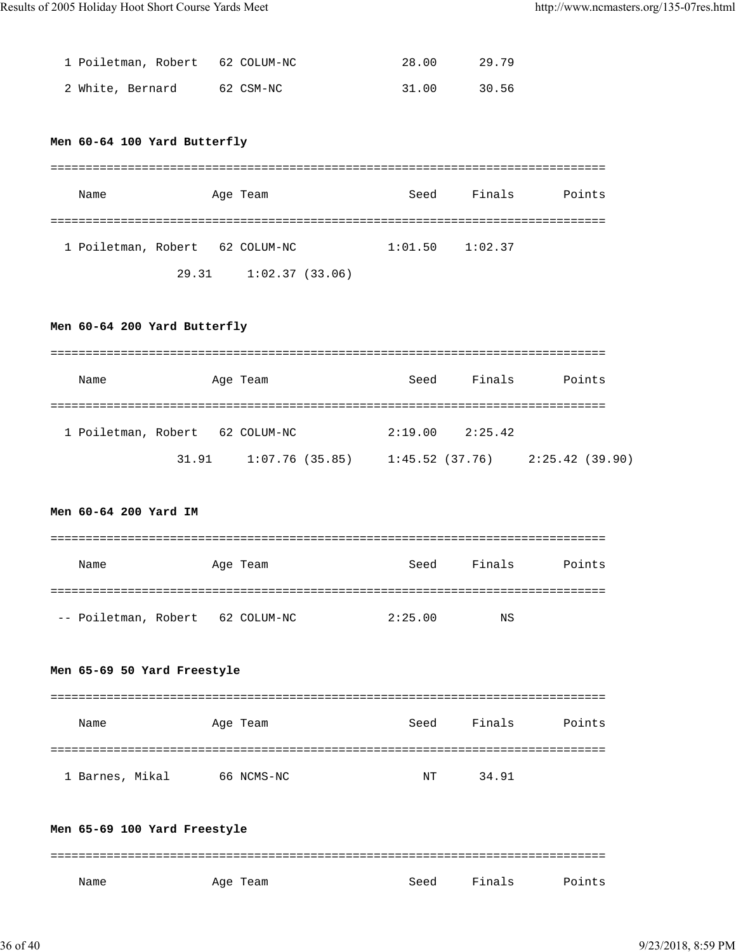| 1 Poiletman, Robert 62 COLUM-NC |           | 28.00 | 29.79 |
|---------------------------------|-----------|-------|-------|
| 2 White, Bernard                | 62 CSM-NC | 31.00 | 30.56 |

# **Men 60-64 100 Yard Butterfly**

| Name                            |       | Age Team       | Seed    | Finals  | Points |
|---------------------------------|-------|----------------|---------|---------|--------|
|                                 |       |                |         |         |        |
| 1 Poiletman, Robert 62 COLUM-NC |       |                | 1:01.50 | 1:02.37 |        |
|                                 | 29.31 | 1:02.37(33.06) |         |         |        |

# **Men 60-64 200 Yard Butterfly**

| Name                            |       | Age Team       | Seed    | Finals                              | Points |
|---------------------------------|-------|----------------|---------|-------------------------------------|--------|
| 1 Poiletman, Robert 62 COLUM-NC |       |                | 2:19.00 | 2:25.42                             |        |
|                                 | 31.91 | 1:07.76(35.85) |         | $1:45.52$ (37.76) $2:25.42$ (39.90) |        |

# **Men 60-64 200 Yard IM**

| Name                 | Age Team    | Seed    | Finals | Points |
|----------------------|-------------|---------|--------|--------|
|                      |             |         |        |        |
| -- Poiletman, Robert | 62 COLUM-NC | 2:25.00 | NS     |        |

# **Men 65-69 50 Yard Freestyle**

| Name            | Age Team   | Seed | Finals | Points |
|-----------------|------------|------|--------|--------|
|                 |            |      |        |        |
| 1 Barnes, Mikal | 66 NCMS-NC | NT   | 34.91  |        |

|      |  | Men 65-69 100 Yard Freestyle |          |      |        |        |
|------|--|------------------------------|----------|------|--------|--------|
|      |  |                              |          |      |        |        |
|      |  |                              |          |      |        |        |
|      |  |                              |          |      |        |        |
| Name |  |                              | Age Team | Seed | Finals | Points |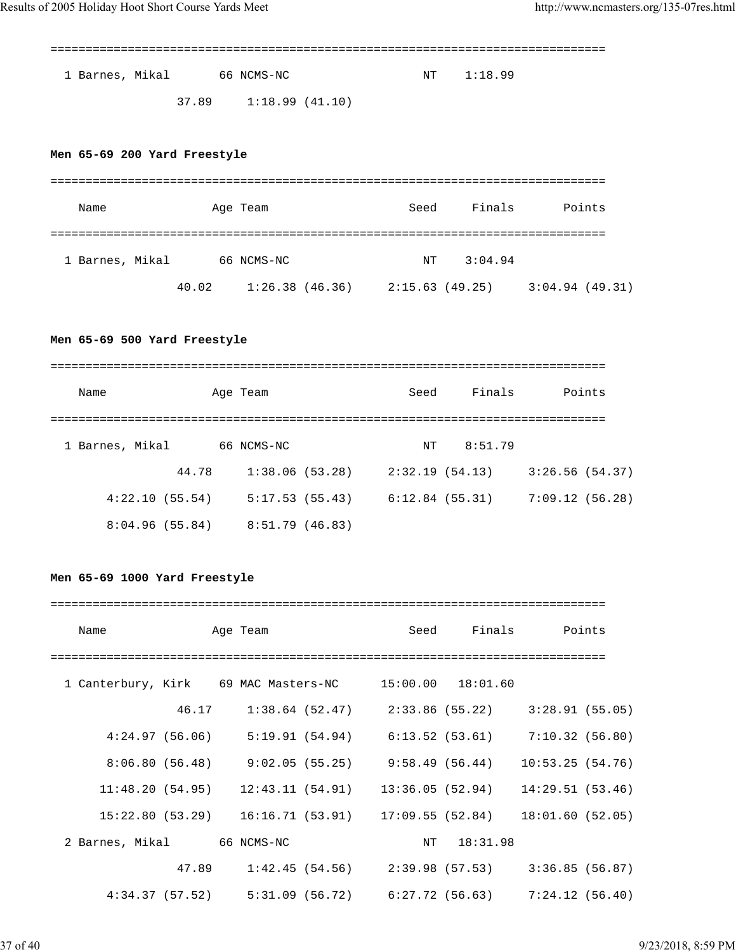| 1 Barnes, Mikal | 66 NCMS-NC                  | NT 1:18.99 |
|-----------------|-----------------------------|------------|
|                 | $37.89$ $1:18.99$ $(41.10)$ |            |

# **Men 65-69 200 Yard Freestyle**

| Name            |       | Age Team       | Seed           | Finals  | Points         |
|-----------------|-------|----------------|----------------|---------|----------------|
|                 |       |                |                |         |                |
| 1 Barnes, Mikal |       | 66 NCMS-NC     | NT             | 3:04.94 |                |
|                 | 40.02 | 1:26.38(46.36) | 2:15.63(49.25) |         | 3:04.94(49.31) |

# **Men 65-69 500 Yard Freestyle**

| Name            |       | Age Team        | Seed           | Finals  |                | Points |
|-----------------|-------|-----------------|----------------|---------|----------------|--------|
|                 |       |                 |                |         |                |        |
| 1 Barnes, Mikal |       | 66 NCMS-NC      | NT             | 8:51.79 |                |        |
|                 | 44.78 | 1:38.06(53.28)  | 2:32.19(54.13) |         | 3:26.56(54.37) |        |
| 4:22.10(55.54)  |       | 5:17.53(55.43)  | 6:12.84(55.31) |         | 7:09.12(56.28) |        |
| 8:04.96(55.84)  |       | 8:51.79 (46.83) |                |         |                |        |

# **Men 65-69 1000 Yard Freestyle**

| Name                                                   |       | Age Team                                                            | Seed                                               |          | Finals Points    |  |
|--------------------------------------------------------|-------|---------------------------------------------------------------------|----------------------------------------------------|----------|------------------|--|
|                                                        |       |                                                                     |                                                    |          |                  |  |
| 1 Canterbury, Kirk 69 MAC Masters-NC 15:00.00 18:01.60 |       |                                                                     |                                                    |          |                  |  |
|                                                        | 46.17 | $1:38.64$ (52.47) $2:33.86$ (55.22)                                 |                                                    |          | 3:28.91(55.05)   |  |
|                                                        |       | 4:24.97 (56.06) 5:19.91 (54.94) 6:13.52 (53.61) 7:10.32 (56.80)     |                                                    |          |                  |  |
|                                                        |       | $8:06.80(56.48)$ $9:02.05(55.25)$ $9:58.49(56.44)$                  |                                                    |          | 10:53.25(54.76)  |  |
|                                                        |       | $11:48.20(54.95)$ $12:43.11(54.91)$ $13:36.05(52.94)$               |                                                    |          | 14:29.51 (53.46) |  |
|                                                        |       | $15:22.80(53.29)$ $16:16.71(53.91)$ $17:09.55(52.84)$               |                                                    |          | 18:01.60(52.05)  |  |
| 2 Barnes, Mikal 66 NCMS-NC                             |       |                                                                     | NT                                                 | 18:31.98 |                  |  |
|                                                        | 47.89 |                                                                     | $1:42.45(54.56)$ $2:39.98(57.53)$ $3:36.85(56.87)$ |          |                  |  |
|                                                        |       | $4:34.37(57.52)$ $5:31.09(56.72)$ $6:27.72(56.63)$ $7:24.12(56.40)$ |                                                    |          |                  |  |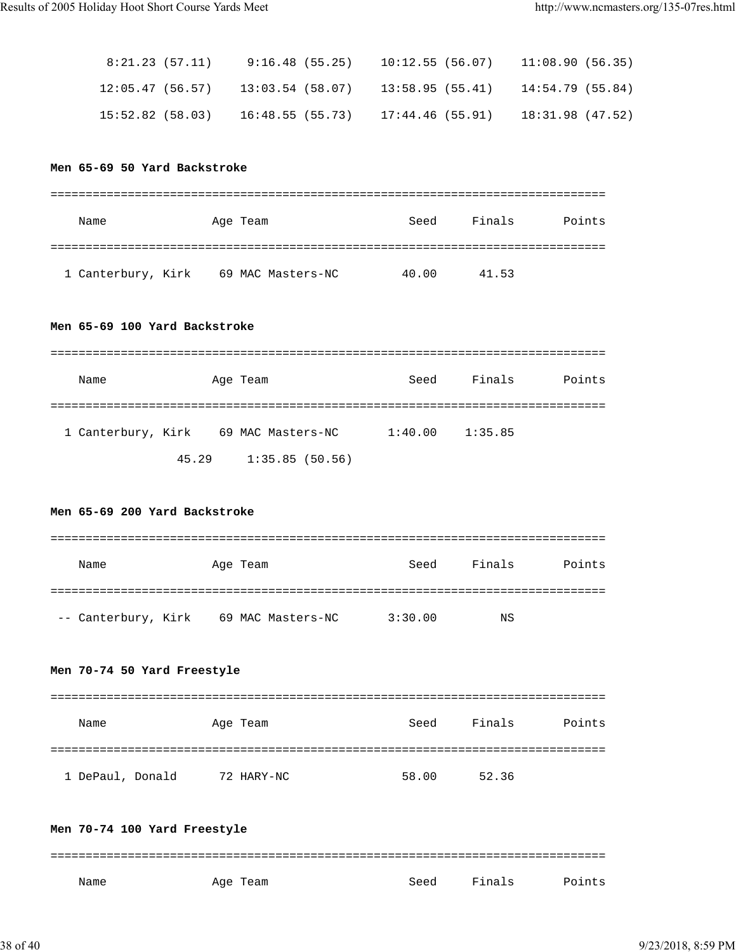| 8:21.23 (57.11) |  | $9:16.48$ (55.25) 10:12.55 (56.07) 11:08.90 (56.35)                         |  |
|-----------------|--|-----------------------------------------------------------------------------|--|
|                 |  | $12:05.47$ (56.57) $13:03.54$ (58.07) $13:58.95$ (55.41) $14:54.79$ (55.84) |  |
|                 |  | $15:52.82$ (58.03) $16:48.55$ (55.73) $17:44.46$ (55.91) $18:31.98$ (47.52) |  |

#### **Men 65-69 50 Yard Backstroke**

| Name                                 | Age Team | Seed  | Finals | Points |
|--------------------------------------|----------|-------|--------|--------|
|                                      |          |       |        |        |
| 1 Canterbury, Kirk 69 MAC Masters-NC |          | 40.00 | 41.53  |        |

#### **Men 65-69 100 Yard Backstroke**

| Name               |       | Age Team |                   | Seed    | Finals  | Points |
|--------------------|-------|----------|-------------------|---------|---------|--------|
|                    |       |          |                   |         |         |        |
| 1 Canterbury, Kirk |       |          | 69 MAC Masters-NC | 1:40.00 | 1:35.85 |        |
|                    | 45.29 |          | 1:35.85(50.56)    |         |         |        |

# **Men 65-69 200 Yard Backstroke**

| Name                | Age Team |                   | Seed    | Finals | Points |
|---------------------|----------|-------------------|---------|--------|--------|
|                     |          |                   |         |        |        |
| -- Canterbury, Kirk |          | 69 MAC Masters-NC | 3:30.00 | NS     |        |

# **Men 70-74 50 Yard Freestyle**

| Name             | Age Team   | Seed  | Finals<br>Points |
|------------------|------------|-------|------------------|
|                  |            |       |                  |
| 1 DePaul, Donald | 72 HARY-NC | 58.00 | 52.36            |

# **Men 70-74 100 Yard Freestyle** =============================================================================== Name Month Age Team Seed Finals Points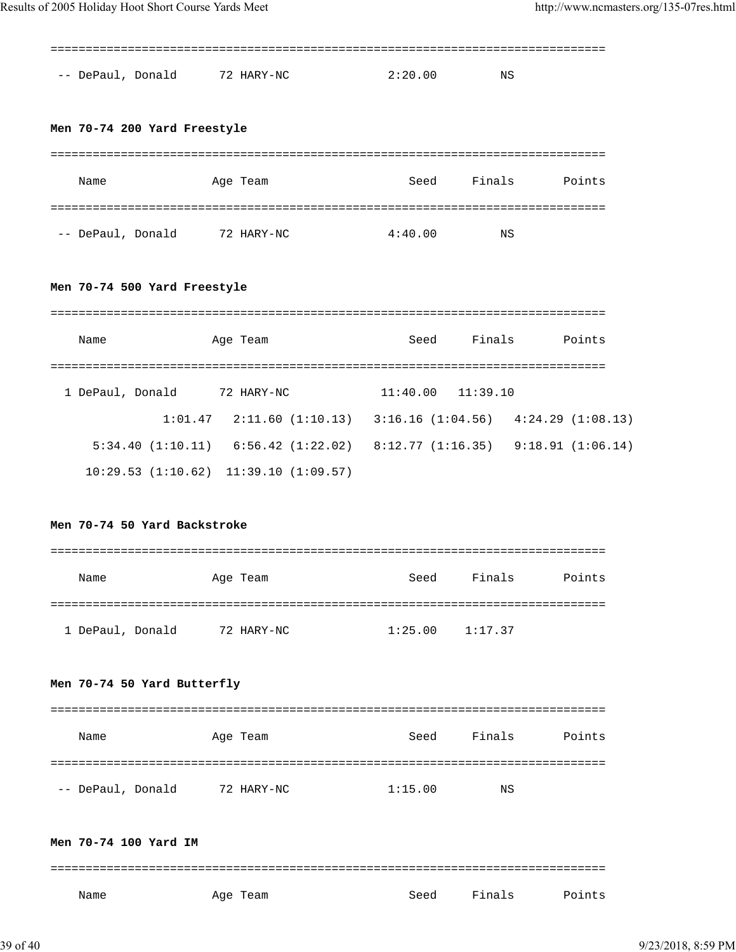| -- DePaul, Donald                    | 72 HARY-NC                                                                  | 2:20.00               | ΝS     |        |
|--------------------------------------|-----------------------------------------------------------------------------|-----------------------|--------|--------|
| Men 70-74 200 Yard Freestyle         |                                                                             |                       |        |        |
|                                      |                                                                             |                       |        |        |
| Name                                 | Age Team                                                                    | Seed                  | Finals | Points |
| -- DePaul, Donald 72 HARY-NC         |                                                                             | 4:40.00               | NS NS  |        |
| Men 70-74 500 Yard Freestyle         |                                                                             |                       |        |        |
| Name                                 | Age Team                                                                    | Seed                  | Finals | Points |
| 1 DePaul, Donald 72 HARY-NC          |                                                                             | $11:40.00$ $11:39.10$ |        |        |
|                                      | $1:01.47$ $2:11.60$ $(1:10.13)$ $3:16.16$ $(1:04.56)$ $4:24.29$ $(1:08.13)$ |                       |        |        |
|                                      | 5:34.40 (1:10.11) 6:56.42 (1:22.02) 8:12.77 (1:16.35) 9:18.91 (1:06.14)     |                       |        |        |
|                                      | $10:29.53$ $(1:10.62)$ $11:39.10$ $(1:09.57)$                               |                       |        |        |
| Men 70-74 50 Yard Backstroke<br>Name | Age Team                                                                    | Seed                  | Finals | Points |
| 1 DePaul, Donald 72 HARY-NC          |                                                                             | $1:25.00$ $1:17.37$   |        |        |
| Men 70-74 50 Yard Butterfly          |                                                                             |                       |        |        |
| Name                                 | Age Team                                                                    | Seed                  | Finals | Points |
| -- DePaul, Donald 72 HARY-NC         |                                                                             | 1:15.00               | ΝS     |        |
| Men 70-74 100 Yard IM                |                                                                             |                       |        |        |
|                                      |                                                                             |                       |        |        |
| Name                                 | Age Team                                                                    | Seed                  | Finals | Points |

===============================================================================